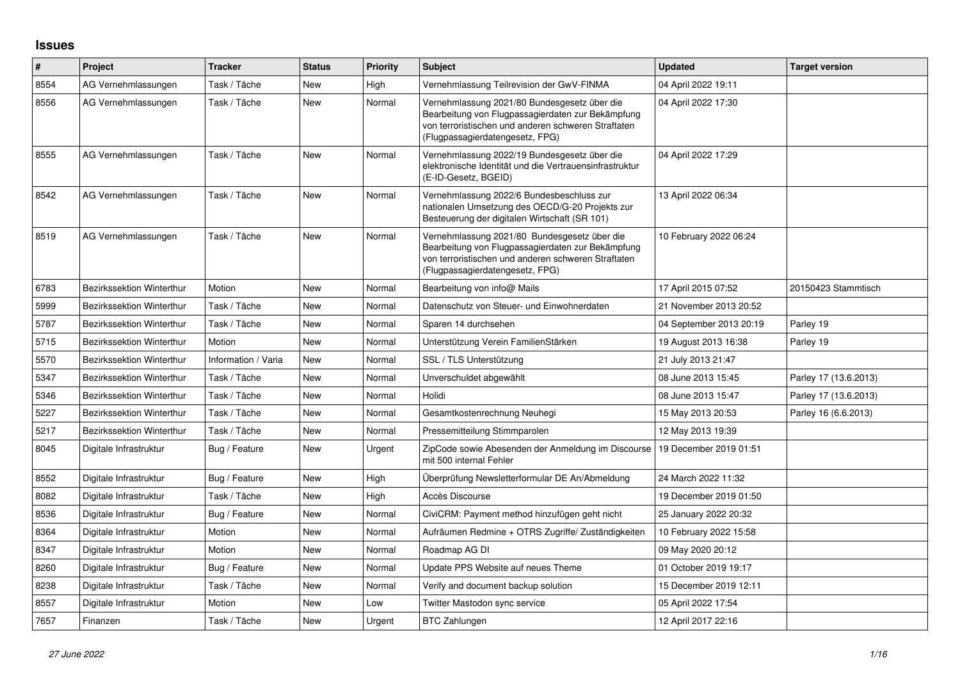## **Issues**

| #    | Project                          | <b>Tracker</b>      | <b>Status</b> | <b>Priority</b> | <b>Subject</b>                                                                                                                                                                              | <b>Updated</b>          | <b>Target version</b> |
|------|----------------------------------|---------------------|---------------|-----------------|---------------------------------------------------------------------------------------------------------------------------------------------------------------------------------------------|-------------------------|-----------------------|
| 8554 | AG Vernehmlassungen              | Task / Tâche        | New           | High            | Vernehmlassung Teilrevision der GwV-FINMA                                                                                                                                                   | 04 April 2022 19:11     |                       |
| 8556 | AG Vernehmlassungen              | Task / Tâche        | New           | Normal          | Vernehmlassung 2021/80 Bundesgesetz über die<br>Bearbeitung von Flugpassagierdaten zur Bekämpfung<br>von terroristischen und anderen schweren Straftaten<br>(Flugpassagierdatengesetz, FPG) | 04 April 2022 17:30     |                       |
| 8555 | AG Vernehmlassungen              | Task / Tâche        | <b>New</b>    | Normal          | Vernehmlassung 2022/19 Bundesgesetz über die<br>elektronische Identität und die Vertrauensinfrastruktur<br>(E-ID-Gesetz, BGEID)                                                             | 04 April 2022 17:29     |                       |
| 8542 | AG Vernehmlassungen              | Task / Tâche        | New           | Normal          | Vernehmlassung 2022/6 Bundesbeschluss zur<br>nationalen Umsetzung des OECD/G-20 Projekts zur<br>Besteuerung der digitalen Wirtschaft (SR 101)                                               | 13 April 2022 06:34     |                       |
| 8519 | AG Vernehmlassungen              | Task / Tâche        | <b>New</b>    | Normal          | Vernehmlassung 2021/80 Bundesgesetz über die<br>Bearbeitung von Flugpassagierdaten zur Bekämpfung<br>von terroristischen und anderen schweren Straftaten<br>(Flugpassagierdatengesetz, FPG) | 10 February 2022 06:24  |                       |
| 6783 | <b>Bezirkssektion Winterthur</b> | Motion              | <b>New</b>    | Normal          | Bearbeitung von info@ Mails                                                                                                                                                                 | 17 April 2015 07:52     | 20150423 Stammtisch   |
| 5999 | Bezirkssektion Winterthur        | Task / Tâche        | <b>New</b>    | Normal          | Datenschutz von Steuer- und Einwohnerdaten                                                                                                                                                  | 21 November 2013 20:52  |                       |
| 5787 | <b>Bezirkssektion Winterthur</b> | Task / Tâche        | <b>New</b>    | Normal          | Sparen 14 durchsehen                                                                                                                                                                        | 04 September 2013 20:19 | Parley 19             |
| 5715 | <b>Bezirkssektion Winterthur</b> | Motion              | New           | Normal          | Unterstützung Verein FamilienStärken                                                                                                                                                        | 19 August 2013 16:38    | Parley 19             |
| 5570 | <b>Bezirkssektion Winterthur</b> | Information / Varia | <b>New</b>    | Normal          | SSL / TLS Unterstützung                                                                                                                                                                     | 21 July 2013 21:47      |                       |
| 5347 | <b>Bezirkssektion Winterthur</b> | Task / Tâche        | New           | Normal          | Unverschuldet abgewählt                                                                                                                                                                     | 08 June 2013 15:45      | Parley 17 (13.6.2013) |
| 5346 | <b>Bezirkssektion Winterthur</b> | Task / Tâche        | <b>New</b>    | Normal          | Holidi                                                                                                                                                                                      | 08 June 2013 15:47      | Parley 17 (13.6.2013) |
| 5227 | Bezirkssektion Winterthur        | Task / Tâche        | New           | Normal          | Gesamtkostenrechnung Neuhegi                                                                                                                                                                | 15 May 2013 20:53       | Parley 16 (6.6.2013)  |
| 5217 | Bezirkssektion Winterthur        | Task / Tâche        | New           | Normal          | Pressemitteilung Stimmparolen                                                                                                                                                               | 12 May 2013 19:39       |                       |
| 8045 | Digitale Infrastruktur           | Bug / Feature       | New           | Urgent          | ZipCode sowie Abesenden der Anmeldung im Discourse<br>mit 500 internal Fehler                                                                                                               | 19 December 2019 01:51  |                       |
| 8552 | Digitale Infrastruktur           | Bug / Feature       | New           | High            | Überprüfung Newsletterformular DE An/Abmeldung                                                                                                                                              | 24 March 2022 11:32     |                       |
| 8082 | Digitale Infrastruktur           | Task / Tâche        | <b>New</b>    | High            | Accès Discourse                                                                                                                                                                             | 19 December 2019 01:50  |                       |
| 8536 | Digitale Infrastruktur           | Bug / Feature       | <b>New</b>    | Normal          | CiviCRM: Payment method hinzufügen geht nicht                                                                                                                                               | 25 January 2022 20:32   |                       |
| 8364 | Digitale Infrastruktur           | Motion              | <b>New</b>    | Normal          | Aufräumen Redmine + OTRS Zugriffe/Zuständigkeiten                                                                                                                                           | 10 February 2022 15:58  |                       |
| 8347 | Digitale Infrastruktur           | Motion              | <b>New</b>    | Normal          | Roadmap AG DI                                                                                                                                                                               | 09 May 2020 20:12       |                       |
| 8260 | Digitale Infrastruktur           | Bug / Feature       | New           | Normal          | Update PPS Website auf neues Theme                                                                                                                                                          | 01 October 2019 19:17   |                       |
| 8238 | Digitale Infrastruktur           | Task / Tâche        | New           | Normal          | Verify and document backup solution                                                                                                                                                         | 15 December 2019 12:11  |                       |
| 8557 | Digitale Infrastruktur           | Motion              | New           | Low             | Twitter Mastodon sync service                                                                                                                                                               | 05 April 2022 17:54     |                       |
| 7657 | Finanzen                         | Task / Tâche        | New           | Urgent          | <b>BTC Zahlungen</b>                                                                                                                                                                        | 12 April 2017 22:16     |                       |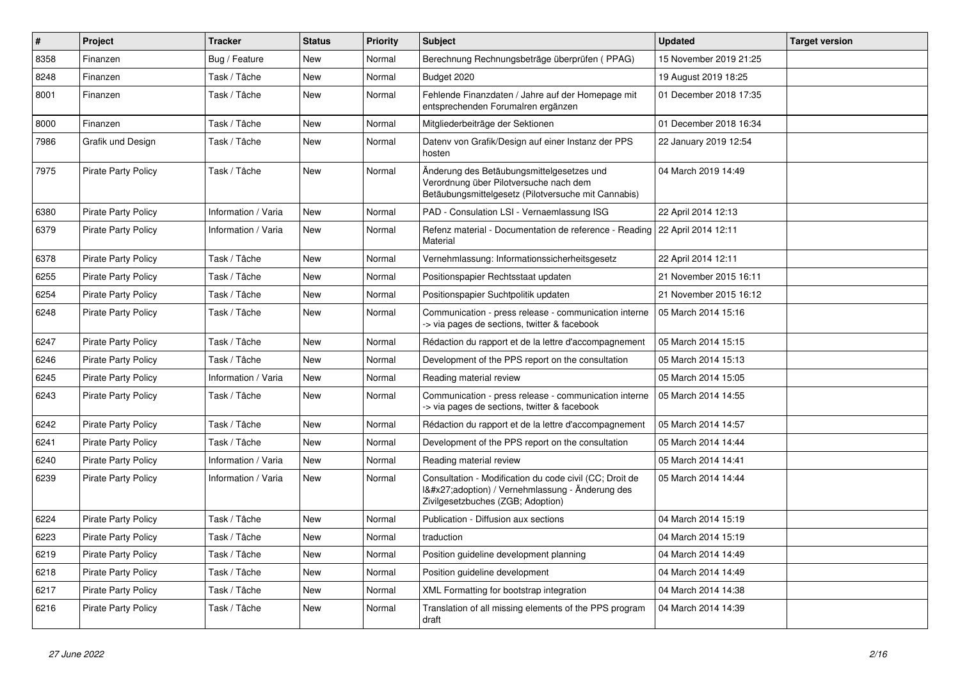| $\vert$ # | Project                    | <b>Tracker</b>      | <b>Status</b> | <b>Priority</b> | <b>Subject</b>                                                                                                                              | <b>Updated</b>         | <b>Target version</b> |
|-----------|----------------------------|---------------------|---------------|-----------------|---------------------------------------------------------------------------------------------------------------------------------------------|------------------------|-----------------------|
| 8358      | Finanzen                   | Bug / Feature       | New           | Normal          | Berechnung Rechnungsbeträge überprüfen (PPAG)                                                                                               | 15 November 2019 21:25 |                       |
| 8248      | Finanzen                   | Task / Tâche        | <b>New</b>    | Normal          | Budget 2020                                                                                                                                 | 19 August 2019 18:25   |                       |
| 8001      | Finanzen                   | Task / Tâche        | New           | Normal          | Fehlende Finanzdaten / Jahre auf der Homepage mit<br>entsprechenden Forumalren ergänzen                                                     | 01 December 2018 17:35 |                       |
| 8000      | Finanzen                   | Task / Tâche        | <b>New</b>    | Normal          | Mitgliederbeiträge der Sektionen                                                                                                            | 01 December 2018 16:34 |                       |
| 7986      | Grafik und Design          | Task / Tâche        | <b>New</b>    | Normal          | Datenv von Grafik/Design auf einer Instanz der PPS<br>hosten                                                                                | 22 January 2019 12:54  |                       |
| 7975      | <b>Pirate Party Policy</b> | Task / Tâche        | New           | Normal          | Änderung des Betäubungsmittelgesetzes und<br>Verordnung über Pilotversuche nach dem<br>Betäubungsmittelgesetz (Pilotversuche mit Cannabis)  | 04 March 2019 14:49    |                       |
| 6380      | <b>Pirate Party Policy</b> | Information / Varia | <b>New</b>    | Normal          | PAD - Consulation LSI - Vernaemlassung ISG                                                                                                  | 22 April 2014 12:13    |                       |
| 6379      | <b>Pirate Party Policy</b> | Information / Varia | <b>New</b>    | Normal          | Refenz material - Documentation de reference - Reading   22 April 2014 12:11<br>Material                                                    |                        |                       |
| 6378      | Pirate Party Policy        | Task / Tâche        | <b>New</b>    | Normal          | Vernehmlassung: Informationssicherheitsgesetz                                                                                               | 22 April 2014 12:11    |                       |
| 6255      | Pirate Party Policy        | Task / Tâche        | <b>New</b>    | Normal          | Positionspapier Rechtsstaat updaten                                                                                                         | 21 November 2015 16:11 |                       |
| 6254      | <b>Pirate Party Policy</b> | Task / Tâche        | <b>New</b>    | Normal          | Positionspapier Suchtpolitik updaten                                                                                                        | 21 November 2015 16:12 |                       |
| 6248      | <b>Pirate Party Policy</b> | Task / Tâche        | <b>New</b>    | Normal          | Communication - press release - communication interne<br>> via pages de sections, twitter & facebook                                        | 05 March 2014 15:16    |                       |
| 6247      | <b>Pirate Party Policy</b> | Task / Tâche        | <b>New</b>    | Normal          | Rédaction du rapport et de la lettre d'accompagnement                                                                                       | 05 March 2014 15:15    |                       |
| 6246      | <b>Pirate Party Policy</b> | Task / Tâche        | <b>New</b>    | Normal          | Development of the PPS report on the consultation                                                                                           | 05 March 2014 15:13    |                       |
| 6245      | <b>Pirate Party Policy</b> | Information / Varia | <b>New</b>    | Normal          | Reading material review                                                                                                                     | 05 March 2014 15:05    |                       |
| 6243      | <b>Pirate Party Policy</b> | Task / Tâche        | <b>New</b>    | Normal          | Communication - press release - communication interne<br>-> via pages de sections, twitter & facebook                                       | 05 March 2014 14:55    |                       |
| 6242      | <b>Pirate Party Policy</b> | Task / Tâche        | <b>New</b>    | Normal          | Rédaction du rapport et de la lettre d'accompagnement                                                                                       | 05 March 2014 14:57    |                       |
| 6241      | <b>Pirate Party Policy</b> | Task / Tâche        | <b>New</b>    | Normal          | Development of the PPS report on the consultation                                                                                           | 05 March 2014 14:44    |                       |
| 6240      | <b>Pirate Party Policy</b> | Information / Varia | <b>New</b>    | Normal          | Reading material review                                                                                                                     | 05 March 2014 14:41    |                       |
| 6239      | <b>Pirate Party Policy</b> | Information / Varia | <b>New</b>    | Normal          | Consultation - Modification du code civil (CC; Droit de<br>1'adoption) / Vernehmlassung - Änderung des<br>Zivilgesetzbuches (ZGB; Adoption) | 05 March 2014 14:44    |                       |
| 6224      | <b>Pirate Party Policy</b> | Task / Tâche        | <b>New</b>    | Normal          | Publication - Diffusion aux sections                                                                                                        | 04 March 2014 15:19    |                       |
| 6223      | <b>Pirate Party Policy</b> | Task / Tâche        | <b>New</b>    | Normal          | traduction                                                                                                                                  | 04 March 2014 15:19    |                       |
| 6219      | <b>Pirate Party Policy</b> | Task / Tâche        | <b>New</b>    | Normal          | Position guideline development planning                                                                                                     | 04 March 2014 14:49    |                       |
| 6218      | <b>Pirate Party Policy</b> | Task / Tâche        | <b>New</b>    | Normal          | Position guideline development                                                                                                              | 04 March 2014 14:49    |                       |
| 6217      | <b>Pirate Party Policy</b> | Task / Tâche        | <b>New</b>    | Normal          | XML Formatting for bootstrap integration                                                                                                    | 04 March 2014 14:38    |                       |
| 6216      | <b>Pirate Party Policy</b> | Task / Tâche        | New           | Normal          | Translation of all missing elements of the PPS program<br>draft                                                                             | 04 March 2014 14:39    |                       |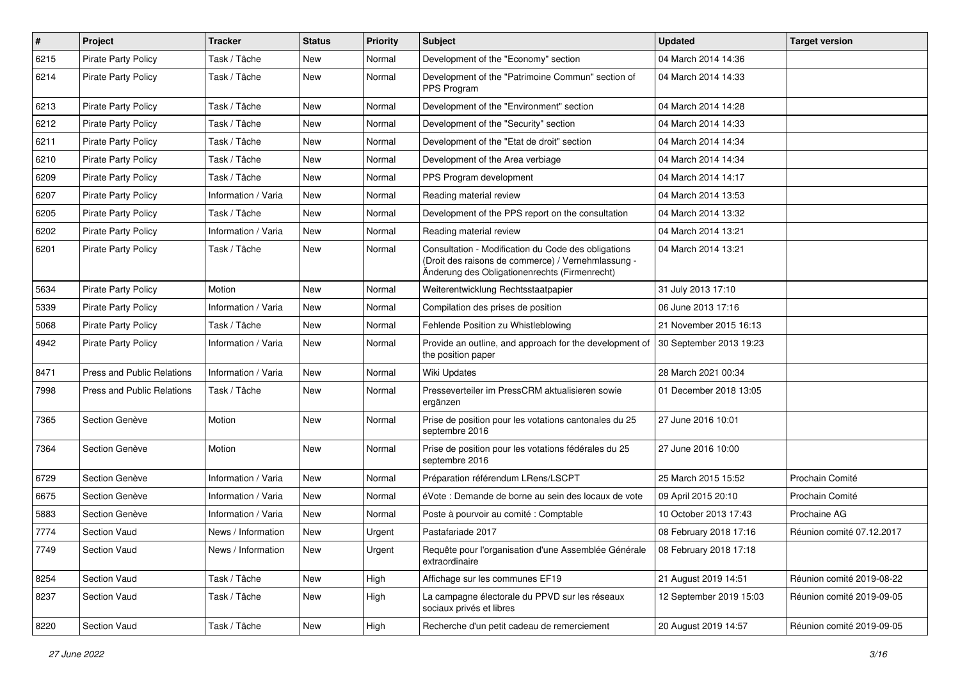| $\vert$ # | <b>Project</b>                    | <b>Tracker</b>      | <b>Status</b> | <b>Priority</b> | Subject                                                                                                                                                    | <b>Updated</b>          | <b>Target version</b>     |
|-----------|-----------------------------------|---------------------|---------------|-----------------|------------------------------------------------------------------------------------------------------------------------------------------------------------|-------------------------|---------------------------|
| 6215      | <b>Pirate Party Policy</b>        | Task / Tâche        | <b>New</b>    | Normal          | Development of the "Economy" section                                                                                                                       | 04 March 2014 14:36     |                           |
| 6214      | <b>Pirate Party Policy</b>        | Task / Tâche        | <b>New</b>    | Normal          | Development of the "Patrimoine Commun" section of<br>PPS Program                                                                                           | 04 March 2014 14:33     |                           |
| 6213      | <b>Pirate Party Policy</b>        | Task / Tâche        | <b>New</b>    | Normal          | Development of the "Environment" section                                                                                                                   | 04 March 2014 14:28     |                           |
| 6212      | <b>Pirate Party Policy</b>        | Task / Tâche        | <b>New</b>    | Normal          | Development of the "Security" section                                                                                                                      | 04 March 2014 14:33     |                           |
| 6211      | <b>Pirate Party Policy</b>        | Task / Tâche        | New           | Normal          | Development of the "Etat de droit" section                                                                                                                 | 04 March 2014 14:34     |                           |
| 6210      | <b>Pirate Party Policy</b>        | Task / Tâche        | <b>New</b>    | Normal          | Development of the Area verbiage                                                                                                                           | 04 March 2014 14:34     |                           |
| 6209      | <b>Pirate Party Policy</b>        | Task / Tâche        | New           | Normal          | PPS Program development                                                                                                                                    | 04 March 2014 14:17     |                           |
| 6207      | <b>Pirate Party Policy</b>        | Information / Varia | <b>New</b>    | Normal          | Reading material review                                                                                                                                    | 04 March 2014 13:53     |                           |
| 6205      | Pirate Party Policy               | Task / Tâche        | <b>New</b>    | Normal          | Development of the PPS report on the consultation                                                                                                          | 04 March 2014 13:32     |                           |
| 6202      | <b>Pirate Party Policy</b>        | Information / Varia | <b>New</b>    | Normal          | Reading material review                                                                                                                                    | 04 March 2014 13:21     |                           |
| 6201      | <b>Pirate Party Policy</b>        | Task / Tâche        | New           | Normal          | Consultation - Modification du Code des obligations<br>(Droit des raisons de commerce) / Vernehmlassung -<br>Änderung des Obligationenrechts (Firmenrecht) | 04 March 2014 13:21     |                           |
| 5634      | Pirate Party Policy               | Motion              | <b>New</b>    | Normal          | Weiterentwicklung Rechtsstaatpapier                                                                                                                        | 31 July 2013 17:10      |                           |
| 5339      | <b>Pirate Party Policy</b>        | Information / Varia | New           | Normal          | Compilation des prises de position                                                                                                                         | 06 June 2013 17:16      |                           |
| 5068      | <b>Pirate Party Policy</b>        | Task / Tâche        | <b>New</b>    | Normal          | Fehlende Position zu Whistleblowing                                                                                                                        | 21 November 2015 16:13  |                           |
| 4942      | <b>Pirate Party Policy</b>        | Information / Varia | <b>New</b>    | Normal          | Provide an outline, and approach for the development of<br>the position paper                                                                              | 30 September 2013 19:23 |                           |
| 8471      | Press and Public Relations        | Information / Varia | <b>New</b>    | Normal          | Wiki Updates                                                                                                                                               | 28 March 2021 00:34     |                           |
| 7998      | <b>Press and Public Relations</b> | Task / Tâche        | <b>New</b>    | Normal          | Presseverteiler im PressCRM aktualisieren sowie<br>ergänzen                                                                                                | 01 December 2018 13:05  |                           |
| 7365      | Section Genève                    | Motion              | <b>New</b>    | Normal          | Prise de position pour les votations cantonales du 25<br>septembre 2016                                                                                    | 27 June 2016 10:01      |                           |
| 7364      | Section Genève                    | Motion              | <b>New</b>    | Normal          | Prise de position pour les votations fédérales du 25<br>septembre 2016                                                                                     | 27 June 2016 10:00      |                           |
| 6729      | Section Genève                    | Information / Varia | New           | Normal          | Préparation référendum LRens/LSCPT                                                                                                                         | 25 March 2015 15:52     | Prochain Comité           |
| 6675      | Section Genève                    | Information / Varia | <b>New</b>    | Normal          | éVote : Demande de borne au sein des locaux de vote                                                                                                        | 09 April 2015 20:10     | Prochain Comité           |
| 5883      | Section Genève                    | Information / Varia | <b>New</b>    | Normal          | Poste à pourvoir au comité : Comptable                                                                                                                     | 10 October 2013 17:43   | Prochaine AG              |
| 7774      | <b>Section Vaud</b>               | News / Information  | New           | Urgent          | Pastafariade 2017                                                                                                                                          | 08 February 2018 17:16  | Réunion comité 07.12.2017 |
| 7749      | Section Vaud                      | News / Information  | New           | Urgent          | Requête pour l'organisation d'une Assemblée Générale<br>extraordinaire                                                                                     | 08 February 2018 17:18  |                           |
| 8254      | Section Vaud                      | Task / Tâche        | New           | High            | Affichage sur les communes EF19                                                                                                                            | 21 August 2019 14:51    | Réunion comité 2019-08-22 |
| 8237      | Section Vaud                      | Task / Tâche        | New           | High            | La campagne électorale du PPVD sur les réseaux<br>sociaux privés et libres                                                                                 | 12 September 2019 15:03 | Réunion comité 2019-09-05 |
| 8220      | Section Vaud                      | Task / Tâche        | New           | High            | Recherche d'un petit cadeau de remerciement                                                                                                                | 20 August 2019 14:57    | Réunion comité 2019-09-05 |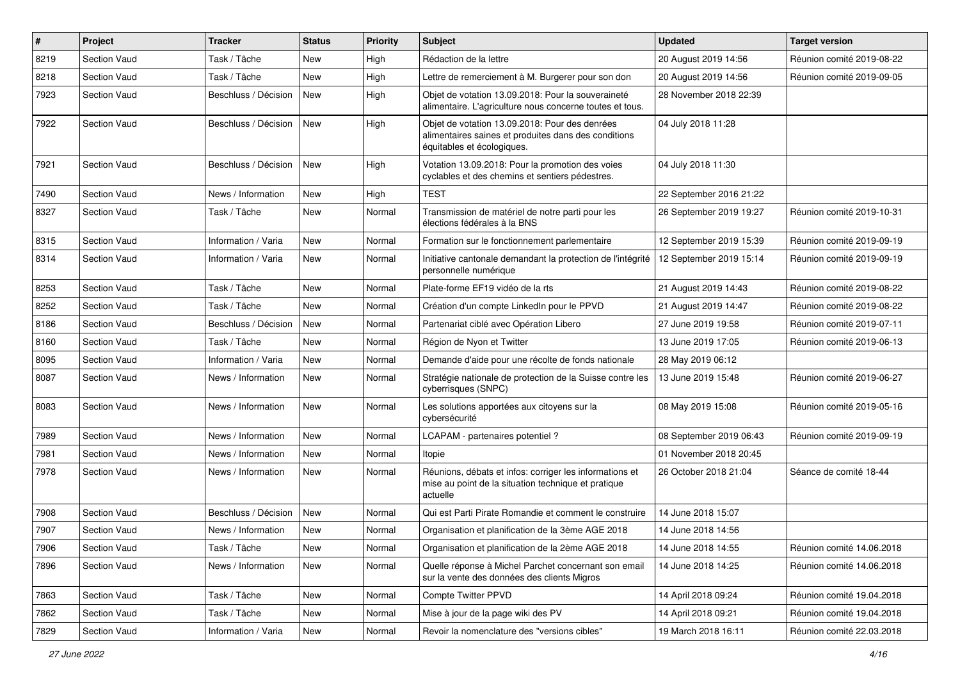| #    | Project             | <b>Tracker</b>       | <b>Status</b> | <b>Priority</b> | Subject                                                                                                                              | <b>Updated</b>          | <b>Target version</b>     |
|------|---------------------|----------------------|---------------|-----------------|--------------------------------------------------------------------------------------------------------------------------------------|-------------------------|---------------------------|
| 8219 | Section Vaud        | Task / Tâche         | <b>New</b>    | High            | Rédaction de la lettre                                                                                                               | 20 August 2019 14:56    | Réunion comité 2019-08-22 |
| 8218 | <b>Section Vaud</b> | Task / Tâche         | New           | High            | Lettre de remerciement à M. Burgerer pour son don                                                                                    | 20 August 2019 14:56    | Réunion comité 2019-09-05 |
| 7923 | <b>Section Vaud</b> | Beschluss / Décision | New           | High            | Objet de votation 13.09.2018: Pour la souveraineté<br>alimentaire. L'agriculture nous concerne toutes et tous.                       | 28 November 2018 22:39  |                           |
| 7922 | Section Vaud        | Beschluss / Décision | <b>New</b>    | High            | Objet de votation 13.09.2018: Pour des denrées<br>alimentaires saines et produites dans des conditions<br>équitables et écologiques. | 04 July 2018 11:28      |                           |
| 7921 | Section Vaud        | Beschluss / Décision | <b>New</b>    | High            | Votation 13.09.2018: Pour la promotion des voies<br>cyclables et des chemins et sentiers pédestres.                                  | 04 July 2018 11:30      |                           |
| 7490 | Section Vaud        | News / Information   | <b>New</b>    | High            | <b>TEST</b>                                                                                                                          | 22 September 2016 21:22 |                           |
| 8327 | Section Vaud        | Task / Tâche         | New           | Normal          | Transmission de matériel de notre parti pour les<br>élections fédérales à la BNS                                                     | 26 September 2019 19:27 | Réunion comité 2019-10-31 |
| 8315 | Section Vaud        | Information / Varia  | New           | Normal          | Formation sur le fonctionnement parlementaire                                                                                        | 12 September 2019 15:39 | Réunion comité 2019-09-19 |
| 8314 | Section Vaud        | Information / Varia  | New           | Normal          | Initiative cantonale demandant la protection de l'intégrité<br>personnelle numérique                                                 | 12 September 2019 15:14 | Réunion comité 2019-09-19 |
| 8253 | <b>Section Vaud</b> | Task / Tâche         | <b>New</b>    | Normal          | Plate-forme EF19 vidéo de la rts                                                                                                     | 21 August 2019 14:43    | Réunion comité 2019-08-22 |
| 8252 | Section Vaud        | Task / Tâche         | New           | Normal          | Création d'un compte LinkedIn pour le PPVD                                                                                           | 21 August 2019 14:47    | Réunion comité 2019-08-22 |
| 8186 | Section Vaud        | Beschluss / Décision | <b>New</b>    | Normal          | Partenariat ciblé avec Opération Libero                                                                                              | 27 June 2019 19:58      | Réunion comité 2019-07-11 |
| 8160 | Section Vaud        | Task / Tâche         | New           | Normal          | Région de Nyon et Twitter                                                                                                            | 13 June 2019 17:05      | Réunion comité 2019-06-13 |
| 8095 | Section Vaud        | Information / Varia  | <b>New</b>    | Normal          | Demande d'aide pour une récolte de fonds nationale                                                                                   | 28 May 2019 06:12       |                           |
| 8087 | <b>Section Vaud</b> | News / Information   | New           | Normal          | Stratégie nationale de protection de la Suisse contre les<br>cyberrisques (SNPC)                                                     | 13 June 2019 15:48      | Réunion comité 2019-06-27 |
| 8083 | Section Vaud        | News / Information   | New           | Normal          | Les solutions apportées aux citoyens sur la<br>cybersécurité                                                                         | 08 May 2019 15:08       | Réunion comité 2019-05-16 |
| 7989 | Section Vaud        | News / Information   | New           | Normal          | LCAPAM - partenaires potentiel?                                                                                                      | 08 September 2019 06:43 | Réunion comité 2019-09-19 |
| 7981 | <b>Section Vaud</b> | News / Information   | <b>New</b>    | Normal          | Itopie                                                                                                                               | 01 November 2018 20:45  |                           |
| 7978 | <b>Section Vaud</b> | News / Information   | New           | Normal          | Réunions, débats et infos: corriger les informations et<br>mise au point de la situation technique et pratique<br>actuelle           | 26 October 2018 21:04   | Séance de comité 18-44    |
| 7908 | Section Vaud        | Beschluss / Décision | New           | Normal          | Qui est Parti Pirate Romandie et comment le construire                                                                               | 14 June 2018 15:07      |                           |
| 7907 | Section Vaud        | News / Information   | New           | Normal          | Organisation et planification de la 3ème AGE 2018                                                                                    | 14 June 2018 14:56      |                           |
| 7906 | <b>Section Vaud</b> | Task / Tâche         | New           | Normal          | Organisation et planification de la 2ème AGE 2018                                                                                    | 14 June 2018 14:55      | Réunion comité 14.06.2018 |
| 7896 | Section Vaud        | News / Information   | New           | Normal          | Quelle réponse à Michel Parchet concernant son email<br>sur la vente des données des clients Migros                                  | 14 June 2018 14:25      | Réunion comité 14.06.2018 |
| 7863 | Section Vaud        | Task / Tâche         | New           | Normal          | Compte Twitter PPVD                                                                                                                  | 14 April 2018 09:24     | Réunion comité 19.04.2018 |
| 7862 | Section Vaud        | Task / Tâche         | New           | Normal          | Mise à jour de la page wiki des PV                                                                                                   | 14 April 2018 09:21     | Réunion comité 19.04.2018 |
| 7829 | Section Vaud        | Information / Varia  | New           | Normal          | Revoir la nomenclature des "versions cibles"                                                                                         | 19 March 2018 16:11     | Réunion comité 22.03.2018 |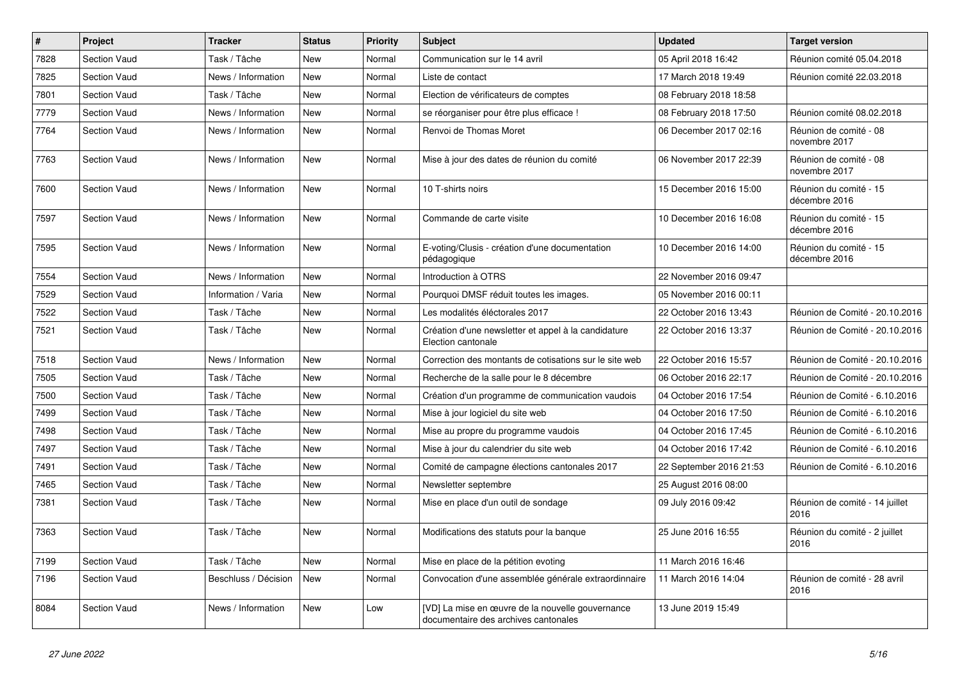| $\vert$ # | Project             | <b>Tracker</b>       | <b>Status</b> | <b>Priority</b> | <b>Subject</b>                                                                           | <b>Updated</b>          | <b>Target version</b>                   |
|-----------|---------------------|----------------------|---------------|-----------------|------------------------------------------------------------------------------------------|-------------------------|-----------------------------------------|
| 7828      | <b>Section Vaud</b> | Task / Tâche         | <b>New</b>    | Normal          | Communication sur le 14 avril                                                            | 05 April 2018 16:42     | Réunion comité 05.04.2018               |
| 7825      | Section Vaud        | News / Information   | <b>New</b>    | Normal          | Liste de contact                                                                         | 17 March 2018 19:49     | Réunion comité 22.03.2018               |
| 7801      | Section Vaud        | Task / Tâche         | New           | Normal          | Election de vérificateurs de comptes                                                     | 08 February 2018 18:58  |                                         |
| 7779      | Section Vaud        | News / Information   | New           | Normal          | se réorganiser pour être plus efficace !                                                 | 08 February 2018 17:50  | Réunion comité 08.02.2018               |
| 7764      | Section Vaud        | News / Information   | <b>New</b>    | Normal          | Renvoi de Thomas Moret                                                                   | 06 December 2017 02:16  | Réunion de comité - 08<br>novembre 2017 |
| 7763      | Section Vaud        | News / Information   | <b>New</b>    | Normal          | Mise à jour des dates de réunion du comité                                               | 06 November 2017 22:39  | Réunion de comité - 08<br>novembre 2017 |
| 7600      | <b>Section Vaud</b> | News / Information   | <b>New</b>    | Normal          | 10 T-shirts noirs                                                                        | 15 December 2016 15:00  | Réunion du comité - 15<br>décembre 2016 |
| 7597      | Section Vaud        | News / Information   | New           | Normal          | Commande de carte visite                                                                 | 10 December 2016 16:08  | Réunion du comité - 15<br>décembre 2016 |
| 7595      | <b>Section Vaud</b> | News / Information   | New           | Normal          | E-voting/Clusis - création d'une documentation<br>pédagogique                            | 10 December 2016 14:00  | Réunion du comité - 15<br>décembre 2016 |
| 7554      | Section Vaud        | News / Information   | <b>New</b>    | Normal          | Introduction à OTRS                                                                      | 22 November 2016 09:47  |                                         |
| 7529      | Section Vaud        | Information / Varia  | <b>New</b>    | Normal          | Pourquoi DMSF réduit toutes les images.                                                  | 05 November 2016 00:11  |                                         |
| 7522      | Section Vaud        | Task / Tâche         | <b>New</b>    | Normal          | Les modalités éléctorales 2017                                                           | 22 October 2016 13:43   | Réunion de Comité - 20.10.2016          |
| 7521      | Section Vaud        | Task / Tâche         | <b>New</b>    | Normal          | Création d'une newsletter et appel à la candidature<br>Election cantonale                | 22 October 2016 13:37   | Réunion de Comité - 20.10.2016          |
| 7518      | Section Vaud        | News / Information   | New           | Normal          | Correction des montants de cotisations sur le site web                                   | 22 October 2016 15:57   | Réunion de Comité - 20.10.2016          |
| 7505      | Section Vaud        | Task / Tâche         | New           | Normal          | Recherche de la salle pour le 8 décembre                                                 | 06 October 2016 22:17   | Réunion de Comité - 20.10.2016          |
| 7500      | <b>Section Vaud</b> | Task / Tâche         | New           | Normal          | Création d'un programme de communication vaudois                                         | 04 October 2016 17:54   | Réunion de Comité - 6.10.2016           |
| 7499      | Section Vaud        | Task / Tâche         | New           | Normal          | Mise à jour logiciel du site web                                                         | 04 October 2016 17:50   | Réunion de Comité - 6.10.2016           |
| 7498      | <b>Section Vaud</b> | Task / Tâche         | <b>New</b>    | Normal          | Mise au propre du programme vaudois                                                      | 04 October 2016 17:45   | Réunion de Comité - 6.10.2016           |
| 7497      | <b>Section Vaud</b> | Task / Tâche         | <b>New</b>    | Normal          | Mise à jour du calendrier du site web                                                    | 04 October 2016 17:42   | Réunion de Comité - 6.10.2016           |
| 7491      | <b>Section Vaud</b> | Task / Tâche         | <b>New</b>    | Normal          | Comité de campagne élections cantonales 2017                                             | 22 September 2016 21:53 | Réunion de Comité - 6.10.2016           |
| 7465      | <b>Section Vaud</b> | Task / Tâche         | <b>New</b>    | Normal          | Newsletter septembre                                                                     | 25 August 2016 08:00    |                                         |
| 7381      | <b>Section Vaud</b> | Task / Tâche         | <b>New</b>    | Normal          | Mise en place d'un outil de sondage                                                      | 09 July 2016 09:42      | Réunion de comité - 14 juillet<br>2016  |
| 7363      | Section Vaud        | Task / Tâche         | <b>New</b>    | Normal          | Modifications des statuts pour la banque                                                 | 25 June 2016 16:55      | Réunion du comité - 2 juillet<br>2016   |
| 7199      | Section Vaud        | Task / Tâche         | New           | Normal          | Mise en place de la pétition evoting                                                     | 11 March 2016 16:46     |                                         |
| 7196      | <b>Section Vaud</b> | Beschluss / Décision | New           | Normal          | Convocation d'une assemblée générale extraordinnaire                                     | 11 March 2016 14:04     | Réunion de comité - 28 avril<br>2016    |
| 8084      | Section Vaud        | News / Information   | New           | Low             | [VD] La mise en œuvre de la nouvelle gouvernance<br>documentaire des archives cantonales | 13 June 2019 15:49      |                                         |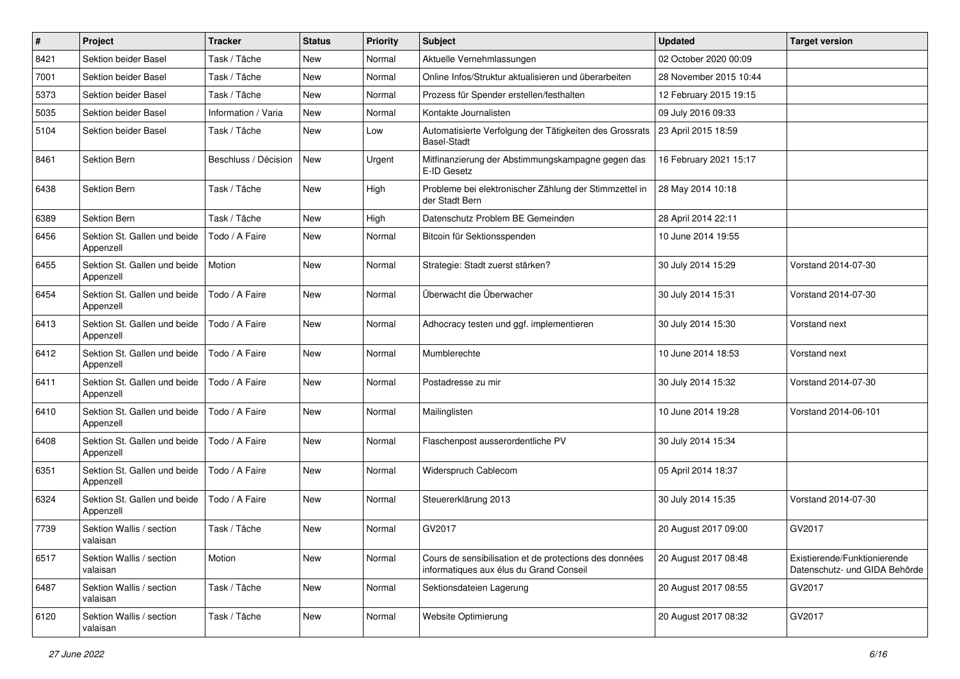| $\#$ | Project                                   | <b>Tracker</b>       | <b>Status</b> | <b>Priority</b> | <b>Subject</b>                                                                                    | <b>Updated</b>         | <b>Target version</b>                                         |
|------|-------------------------------------------|----------------------|---------------|-----------------|---------------------------------------------------------------------------------------------------|------------------------|---------------------------------------------------------------|
| 8421 | Sektion beider Basel                      | Task / Tâche         | <b>New</b>    | Normal          | Aktuelle Vernehmlassungen                                                                         | 02 October 2020 00:09  |                                                               |
| 7001 | Sektion beider Basel                      | Task / Tâche         | <b>New</b>    | Normal          | Online Infos/Struktur aktualisieren und überarbeiten                                              | 28 November 2015 10:44 |                                                               |
| 5373 | Sektion beider Basel                      | Task / Tâche         | New           | Normal          | Prozess für Spender erstellen/festhalten                                                          | 12 February 2015 19:15 |                                                               |
| 5035 | Sektion beider Basel                      | Information / Varia  | <b>New</b>    | Normal          | Kontakte Journalisten                                                                             | 09 July 2016 09:33     |                                                               |
| 5104 | Sektion beider Basel                      | Task / Tâche         | <b>New</b>    | Low             | Automatisierte Verfolgung der Tätigkeiten des Grossrats<br><b>Basel-Stadt</b>                     | 23 April 2015 18:59    |                                                               |
| 8461 | <b>Sektion Bern</b>                       | Beschluss / Décision | <b>New</b>    | Urgent          | Mitfinanzierung der Abstimmungskampagne gegen das<br>E-ID Gesetz                                  | 16 February 2021 15:17 |                                                               |
| 6438 | <b>Sektion Bern</b>                       | Task / Tâche         | New           | High            | Probleme bei elektronischer Zählung der Stimmzettel in<br>der Stadt Bern                          | 28 May 2014 10:18      |                                                               |
| 6389 | Sektion Bern                              | Task / Tâche         | <b>New</b>    | High            | Datenschutz Problem BE Gemeinden                                                                  | 28 April 2014 22:11    |                                                               |
| 6456 | Sektion St. Gallen und beide<br>Appenzell | Todo / A Faire       | <b>New</b>    | Normal          | Bitcoin für Sektionsspenden                                                                       | 10 June 2014 19:55     |                                                               |
| 6455 | Sektion St. Gallen und beide<br>Appenzell | Motion               | <b>New</b>    | Normal          | Strategie: Stadt zuerst stärken?                                                                  | 30 July 2014 15:29     | Vorstand 2014-07-30                                           |
| 6454 | Sektion St. Gallen und beide<br>Appenzell | Todo / A Faire       | <b>New</b>    | Normal          | Überwacht die Überwacher                                                                          | 30 July 2014 15:31     | Vorstand 2014-07-30                                           |
| 6413 | Sektion St. Gallen und beide<br>Appenzell | Todo / A Faire       | <b>New</b>    | Normal          | Adhocracy testen und ggf. implementieren                                                          | 30 July 2014 15:30     | Vorstand next                                                 |
| 6412 | Sektion St. Gallen und beide<br>Appenzell | Todo / A Faire       | New           | Normal          | Mumblerechte                                                                                      | 10 June 2014 18:53     | Vorstand next                                                 |
| 6411 | Sektion St. Gallen und beide<br>Appenzell | Todo / A Faire       | New           | Normal          | Postadresse zu mir                                                                                | 30 July 2014 15:32     | Vorstand 2014-07-30                                           |
| 6410 | Sektion St. Gallen und beide<br>Appenzell | Todo / A Faire       | New           | Normal          | Mailinglisten                                                                                     | 10 June 2014 19:28     | Vorstand 2014-06-101                                          |
| 6408 | Sektion St. Gallen und beide<br>Appenzell | Todo / A Faire       | <b>New</b>    | Normal          | Flaschenpost ausserordentliche PV                                                                 | 30 July 2014 15:34     |                                                               |
| 6351 | Sektion St. Gallen und beide<br>Appenzell | Todo / A Faire       | <b>New</b>    | Normal          | Widerspruch Cablecom                                                                              | 05 April 2014 18:37    |                                                               |
| 6324 | Sektion St. Gallen und beide<br>Appenzell | Todo / A Faire       | New           | Normal          | Steuererklärung 2013                                                                              | 30 July 2014 15:35     | Vorstand 2014-07-30                                           |
| 7739 | Sektion Wallis / section<br>valaisan      | Task / Tâche         | <b>New</b>    | Normal          | GV2017                                                                                            | 20 August 2017 09:00   | GV2017                                                        |
| 6517 | Sektion Wallis / section<br>valaisan      | Motion               | New           | Normal          | Cours de sensibilisation et de protections des données<br>informatiques aux élus du Grand Conseil | 20 August 2017 08:48   | Existierende/Funktionierende<br>Datenschutz- und GIDA Behörde |
| 6487 | Sektion Wallis / section<br>valaisan      | Task / Tâche         | New           | Normal          | Sektionsdateien Lagerung                                                                          | 20 August 2017 08:55   | GV2017                                                        |
| 6120 | Sektion Wallis / section<br>valaisan      | Task / Tâche         | New           | Normal          | Website Optimierung                                                                               | 20 August 2017 08:32   | GV2017                                                        |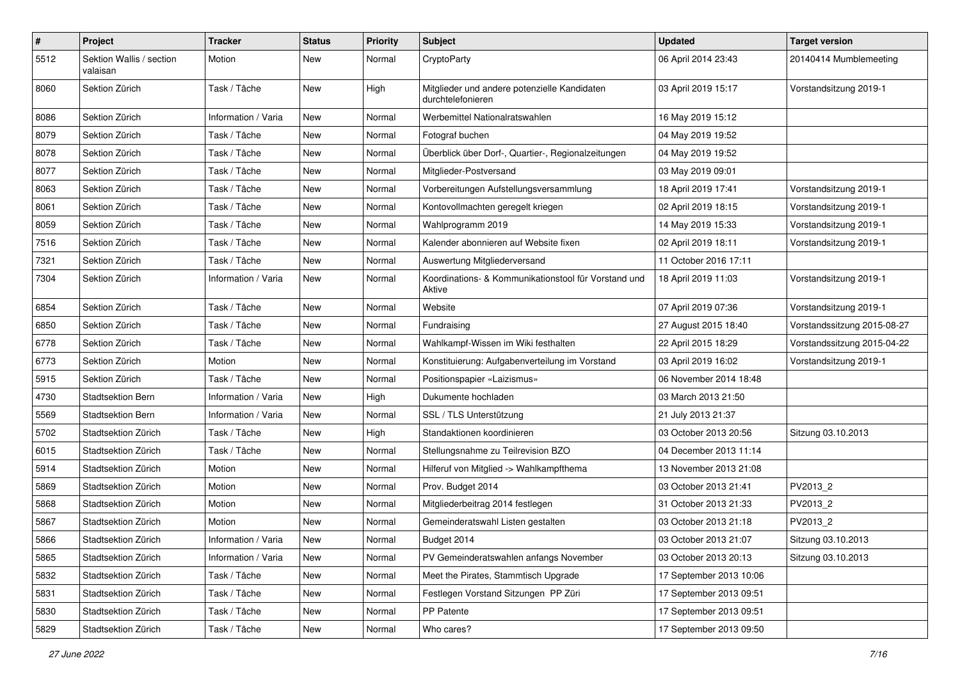| $\pmb{\#}$ | Project                              | <b>Tracker</b>      | <b>Status</b> | <b>Priority</b> | <b>Subject</b>                                                    | <b>Updated</b>          | <b>Target version</b>       |
|------------|--------------------------------------|---------------------|---------------|-----------------|-------------------------------------------------------------------|-------------------------|-----------------------------|
| 5512       | Sektion Wallis / section<br>valaisan | Motion              | New           | Normal          | CryptoParty                                                       | 06 April 2014 23:43     | 20140414 Mumblemeeting      |
| 8060       | Sektion Zürich                       | Task / Tâche        | New           | High            | Mitglieder und andere potenzielle Kandidaten<br>durchtelefonieren | 03 April 2019 15:17     | Vorstandsitzung 2019-1      |
| 8086       | Sektion Zürich                       | Information / Varia | New           | Normal          | Werbemittel Nationalratswahlen                                    | 16 May 2019 15:12       |                             |
| 8079       | Sektion Zürich                       | Task / Tâche        | New           | Normal          | Fotograf buchen                                                   | 04 May 2019 19:52       |                             |
| 8078       | Sektion Zürich                       | Task / Tâche        | New           | Normal          | Überblick über Dorf-, Quartier-, Regionalzeitungen                | 04 May 2019 19:52       |                             |
| 8077       | Sektion Zürich                       | Task / Tâche        | New           | Normal          | Mitglieder-Postversand                                            | 03 May 2019 09:01       |                             |
| 8063       | Sektion Zürich                       | Task / Tâche        | New           | Normal          | Vorbereitungen Aufstellungsversammlung                            | 18 April 2019 17:41     | Vorstandsitzung 2019-1      |
| 8061       | Sektion Zürich                       | Task / Tâche        | <b>New</b>    | Normal          | Kontovollmachten geregelt kriegen                                 | 02 April 2019 18:15     | Vorstandsitzung 2019-1      |
| 8059       | Sektion Zürich                       | Task / Tâche        | New           | Normal          | Wahlprogramm 2019                                                 | 14 May 2019 15:33       | Vorstandsitzung 2019-1      |
| 7516       | Sektion Zürich                       | Task / Tâche        | <b>New</b>    | Normal          | Kalender abonnieren auf Website fixen                             | 02 April 2019 18:11     | Vorstandsitzung 2019-1      |
| 7321       | Sektion Zürich                       | Task / Tâche        | New           | Normal          | Auswertung Mitgliederversand                                      | 11 October 2016 17:11   |                             |
| 7304       | Sektion Zürich                       | Information / Varia | New           | Normal          | Koordinations- & Kommunikationstool für Vorstand und<br>Aktive    | 18 April 2019 11:03     | Vorstandsitzung 2019-1      |
| 6854       | Sektion Zürich                       | Task / Tâche        | New           | Normal          | Website                                                           | 07 April 2019 07:36     | Vorstandsitzung 2019-1      |
| 6850       | Sektion Zürich                       | Task / Tâche        | New           | Normal          | Fundraising                                                       | 27 August 2015 18:40    | Vorstandssitzung 2015-08-27 |
| 6778       | Sektion Zürich                       | Task / Tâche        | <b>New</b>    | Normal          | Wahlkampf-Wissen im Wiki festhalten                               | 22 April 2015 18:29     | Vorstandssitzung 2015-04-22 |
| 6773       | Sektion Zürich                       | Motion              | New           | Normal          | Konstituierung: Aufgabenverteilung im Vorstand                    | 03 April 2019 16:02     | Vorstandsitzung 2019-1      |
| 5915       | Sektion Zürich                       | Task / Tâche        | <b>New</b>    | Normal          | Positionspapier «Laizismus»                                       | 06 November 2014 18:48  |                             |
| 4730       | <b>Stadtsektion Bern</b>             | Information / Varia | New           | High            | Dukumente hochladen                                               | 03 March 2013 21:50     |                             |
| 5569       | <b>Stadtsektion Bern</b>             | Information / Varia | New           | Normal          | SSL / TLS Unterstützung                                           | 21 July 2013 21:37      |                             |
| 5702       | Stadtsektion Zürich                  | Task / Tâche        | <b>New</b>    | High            | Standaktionen koordinieren                                        | 03 October 2013 20:56   | Sitzung 03.10.2013          |
| 6015       | Stadtsektion Zürich                  | Task / Tâche        | New           | Normal          | Stellungsnahme zu Teilrevision BZO                                | 04 December 2013 11:14  |                             |
| 5914       | Stadtsektion Zürich                  | Motion              | New           | Normal          | Hilferuf von Mitglied -> Wahlkampfthema                           | 13 November 2013 21:08  |                             |
| 5869       | Stadtsektion Zürich                  | Motion              | New           | Normal          | Prov. Budget 2014                                                 | 03 October 2013 21:41   | PV2013_2                    |
| 5868       | Stadtsektion Zürich                  | Motion              | <b>New</b>    | Normal          | Mitgliederbeitrag 2014 festlegen                                  | 31 October 2013 21:33   | PV2013_2                    |
| 5867       | Stadtsektion Zürich                  | Motion              | New           | Normal          | Gemeinderatswahl Listen gestalten                                 | 03 October 2013 21:18   | PV2013_2                    |
| 5866       | Stadtsektion Zürich                  | Information / Varia | New           | Normal          | Budget 2014                                                       | 03 October 2013 21:07   | Sitzung 03.10.2013          |
| 5865       | Stadtsektion Zürich                  | Information / Varia | New           | Normal          | PV Gemeinderatswahlen anfangs November                            | 03 October 2013 20:13   | Sitzung 03.10.2013          |
| 5832       | Stadtsektion Zürich                  | Task / Tâche        | New           | Normal          | Meet the Pirates, Stammtisch Upgrade                              | 17 September 2013 10:06 |                             |
| 5831       | Stadtsektion Zürich                  | Task / Tâche        | New           | Normal          | Festlegen Vorstand Sitzungen PP Züri                              | 17 September 2013 09:51 |                             |
| 5830       | Stadtsektion Zürich                  | Task / Tâche        | New           | Normal          | PP Patente                                                        | 17 September 2013 09:51 |                             |
| 5829       | Stadtsektion Zürich                  | Task / Tâche        | New           | Normal          | Who cares?                                                        | 17 September 2013 09:50 |                             |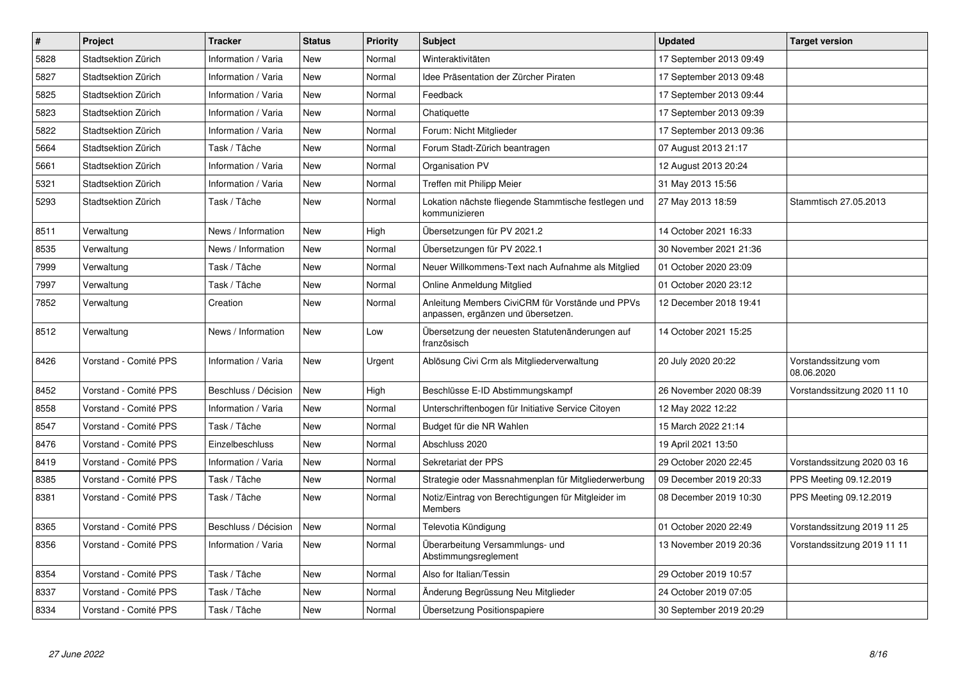| $\pmb{\#}$ | Project               | <b>Tracker</b>       | <b>Status</b> | Priority | <b>Subject</b>                                                                         | <b>Updated</b>          | <b>Target version</b>              |
|------------|-----------------------|----------------------|---------------|----------|----------------------------------------------------------------------------------------|-------------------------|------------------------------------|
| 5828       | Stadtsektion Zürich   | Information / Varia  | New           | Normal   | Winteraktivitäten                                                                      | 17 September 2013 09:49 |                                    |
| 5827       | Stadtsektion Zürich   | Information / Varia  | <b>New</b>    | Normal   | Idee Präsentation der Zürcher Piraten                                                  | 17 September 2013 09:48 |                                    |
| 5825       | Stadtsektion Zürich   | Information / Varia  | New           | Normal   | Feedback                                                                               | 17 September 2013 09:44 |                                    |
| 5823       | Stadtsektion Zürich   | Information / Varia  | New           | Normal   | Chatiquette                                                                            | 17 September 2013 09:39 |                                    |
| 5822       | Stadtsektion Zürich   | Information / Varia  | New           | Normal   | Forum: Nicht Mitglieder                                                                | 17 September 2013 09:36 |                                    |
| 5664       | Stadtsektion Zürich   | Task / Tâche         | <b>New</b>    | Normal   | Forum Stadt-Zürich beantragen                                                          | 07 August 2013 21:17    |                                    |
| 5661       | Stadtsektion Zürich   | Information / Varia  | New           | Normal   | Organisation PV                                                                        | 12 August 2013 20:24    |                                    |
| 5321       | Stadtsektion Zürich   | Information / Varia  | New           | Normal   | Treffen mit Philipp Meier                                                              | 31 May 2013 15:56       |                                    |
| 5293       | Stadtsektion Zürich   | Task / Tâche         | <b>New</b>    | Normal   | Lokation nächste fliegende Stammtische festlegen und<br>kommunizieren                  | 27 May 2013 18:59       | Stammtisch 27.05.2013              |
| 8511       | Verwaltung            | News / Information   | <b>New</b>    | High     | Übersetzungen für PV 2021.2                                                            | 14 October 2021 16:33   |                                    |
| 8535       | Verwaltung            | News / Information   | <b>New</b>    | Normal   | Übersetzungen für PV 2022.1                                                            | 30 November 2021 21:36  |                                    |
| 7999       | Verwaltung            | Task / Tâche         | New           | Normal   | Neuer Willkommens-Text nach Aufnahme als Mitglied                                      | 01 October 2020 23:09   |                                    |
| 7997       | Verwaltung            | Task / Tâche         | New           | Normal   | Online Anmeldung Mitglied                                                              | 01 October 2020 23:12   |                                    |
| 7852       | Verwaltung            | Creation             | <b>New</b>    | Normal   | Anleitung Members CiviCRM für Vorstände und PPVs<br>anpassen, ergänzen und übersetzen. | 12 December 2018 19:41  |                                    |
| 8512       | Verwaltung            | News / Information   | New           | Low      | Übersetzung der neuesten Statutenänderungen auf<br>französisch                         | 14 October 2021 15:25   |                                    |
| 8426       | Vorstand - Comité PPS | Information / Varia  | New           | Urgent   | Ablösung Civi Crm als Mitgliederverwaltung                                             | 20 July 2020 20:22      | Vorstandssitzung vom<br>08.06.2020 |
| 8452       | Vorstand - Comité PPS | Beschluss / Décision | <b>New</b>    | High     | Beschlüsse E-ID Abstimmungskampf                                                       | 26 November 2020 08:39  | Vorstandssitzung 2020 11 10        |
| 8558       | Vorstand - Comité PPS | Information / Varia  | New           | Normal   | Unterschriftenbogen für Initiative Service Citoyen                                     | 12 May 2022 12:22       |                                    |
| 8547       | Vorstand - Comité PPS | Task / Tâche         | New           | Normal   | Budget für die NR Wahlen                                                               | 15 March 2022 21:14     |                                    |
| 8476       | Vorstand - Comité PPS | Einzelbeschluss      | <b>New</b>    | Normal   | Abschluss 2020                                                                         | 19 April 2021 13:50     |                                    |
| 8419       | Vorstand - Comité PPS | Information / Varia  | New           | Normal   | Sekretariat der PPS                                                                    | 29 October 2020 22:45   | Vorstandssitzung 2020 03 16        |
| 8385       | Vorstand - Comité PPS | Task / Tâche         | New           | Normal   | Strategie oder Massnahmenplan für Mitgliederwerbung                                    | 09 December 2019 20:33  | PPS Meeting 09.12.2019             |
| 8381       | Vorstand - Comité PPS | Task / Tâche         | New           | Normal   | Notiz/Eintrag von Berechtigungen für Mitgleider im<br><b>Members</b>                   | 08 December 2019 10:30  | PPS Meeting 09.12.2019             |
| 8365       | Vorstand - Comité PPS | Beschluss / Décision | <b>New</b>    | Normal   | Televotia Kündigung                                                                    | 01 October 2020 22:49   | Vorstandssitzung 2019 11 25        |
| 8356       | Vorstand - Comité PPS | Information / Varia  | New           | Normal   | Überarbeitung Versammlungs- und<br>Abstimmungsreglement                                | 13 November 2019 20:36  | Vorstandssitzung 2019 11 11        |
| 8354       | Vorstand - Comité PPS | Task / Tâche         | New           | Normal   | Also for Italian/Tessin                                                                | 29 October 2019 10:57   |                                    |
| 8337       | Vorstand - Comité PPS | Task / Tâche         | New           | Normal   | Änderung Begrüssung Neu Mitglieder                                                     | 24 October 2019 07:05   |                                    |
| 8334       | Vorstand - Comité PPS | Task / Tâche         | <b>New</b>    | Normal   | Übersetzung Positionspapiere                                                           | 30 September 2019 20:29 |                                    |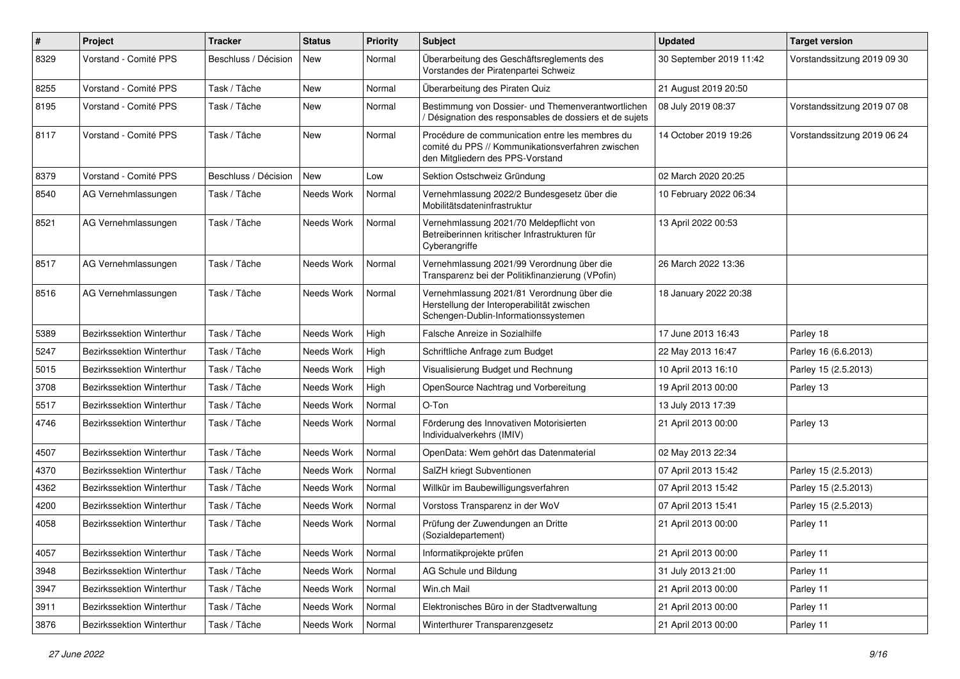| $\#$ | Project                   | <b>Tracker</b>       | <b>Status</b> | <b>Priority</b> | <b>Subject</b>                                                                                                                           | <b>Updated</b>          | <b>Target version</b>       |
|------|---------------------------|----------------------|---------------|-----------------|------------------------------------------------------------------------------------------------------------------------------------------|-------------------------|-----------------------------|
| 8329 | Vorstand - Comité PPS     | Beschluss / Décision | <b>New</b>    | Normal          | Überarbeitung des Geschäftsreglements des<br>Vorstandes der Piratenpartei Schweiz                                                        | 30 September 2019 11:42 | Vorstandssitzung 2019 09 30 |
| 8255 | Vorstand - Comité PPS     | Task / Tâche         | New           | Normal          | Überarbeitung des Piraten Quiz                                                                                                           | 21 August 2019 20:50    |                             |
| 8195 | Vorstand - Comité PPS     | Task / Tâche         | New           | Normal          | Bestimmung von Dossier- und Themenverantwortlichen<br>/ Désignation des responsables de dossiers et de sujets                            | 08 July 2019 08:37      | Vorstandssitzung 2019 07 08 |
| 8117 | Vorstand - Comité PPS     | Task / Tâche         | New           | Normal          | Procédure de communication entre les membres du<br>comité du PPS // Kommunikationsverfahren zwischen<br>den Mitgliedern des PPS-Vorstand | 14 October 2019 19:26   | Vorstandssitzung 2019 06 24 |
| 8379 | Vorstand - Comité PPS     | Beschluss / Décision | New           | Low             | Sektion Ostschweiz Gründung                                                                                                              | 02 March 2020 20:25     |                             |
| 8540 | AG Vernehmlassungen       | Task / Tâche         | Needs Work    | Normal          | Vernehmlassung 2022/2 Bundesgesetz über die<br>Mobilitätsdateninfrastruktur                                                              | 10 February 2022 06:34  |                             |
| 8521 | AG Vernehmlassungen       | Task / Tâche         | Needs Work    | Normal          | Vernehmlassung 2021/70 Meldepflicht von<br>Betreiberinnen kritischer Infrastrukturen für<br>Cyberangriffe                                | 13 April 2022 00:53     |                             |
| 8517 | AG Vernehmlassungen       | Task / Tâche         | Needs Work    | Normal          | Vernehmlassung 2021/99 Verordnung über die<br>Transparenz bei der Politikfinanzierung (VPofin)                                           | 26 March 2022 13:36     |                             |
| 8516 | AG Vernehmlassungen       | Task / Tâche         | Needs Work    | Normal          | Vernehmlassung 2021/81 Verordnung über die<br>Herstellung der Interoperabilität zwischen<br>Schengen-Dublin-Informationssystemen         | 18 January 2022 20:38   |                             |
| 5389 | Bezirkssektion Winterthur | Task / Tâche         | Needs Work    | High            | Falsche Anreize in Sozialhilfe                                                                                                           | 17 June 2013 16:43      | Parley 18                   |
| 5247 | Bezirkssektion Winterthur | Task / Tâche         | Needs Work    | High            | Schriftliche Anfrage zum Budget                                                                                                          | 22 May 2013 16:47       | Parley 16 (6.6.2013)        |
| 5015 | Bezirkssektion Winterthur | Task / Tâche         | Needs Work    | High            | Visualisierung Budget und Rechnung                                                                                                       | 10 April 2013 16:10     | Parley 15 (2.5.2013)        |
| 3708 | Bezirkssektion Winterthur | Task / Tâche         | Needs Work    | High            | OpenSource Nachtrag und Vorbereitung                                                                                                     | 19 April 2013 00:00     | Parley 13                   |
| 5517 | Bezirkssektion Winterthur | Task / Tâche         | Needs Work    | Normal          | O-Ton                                                                                                                                    | 13 July 2013 17:39      |                             |
| 4746 | Bezirkssektion Winterthur | Task / Tâche         | Needs Work    | Normal          | Förderung des Innovativen Motorisierten<br>Individualverkehrs (IMIV)                                                                     | 21 April 2013 00:00     | Parley 13                   |
| 4507 | Bezirkssektion Winterthur | Task / Tâche         | Needs Work    | Normal          | OpenData: Wem gehört das Datenmaterial                                                                                                   | 02 May 2013 22:34       |                             |
| 4370 | Bezirkssektion Winterthur | Task / Tâche         | Needs Work    | Normal          | SalZH kriegt Subventionen                                                                                                                | 07 April 2013 15:42     | Parley 15 (2.5.2013)        |
| 4362 | Bezirkssektion Winterthur | Task / Tâche         | Needs Work    | Normal          | Willkür im Baubewilligungsverfahren                                                                                                      | 07 April 2013 15:42     | Parley 15 (2.5.2013)        |
| 4200 | Bezirkssektion Winterthur | Task / Tâche         | Needs Work    | Normal          | Vorstoss Transparenz in der WoV                                                                                                          | 07 April 2013 15:41     | Parley 15 (2.5.2013)        |
| 4058 | Bezirkssektion Winterthur | Task / Tâche         | Needs Work    | Normal          | Prüfung der Zuwendungen an Dritte<br>(Sozialdepartement)                                                                                 | 21 April 2013 00:00     | Parley 11                   |
| 4057 | Bezirkssektion Winterthur | Task / Tâche         | Needs Work    | Normal          | Informatikprojekte prüfen                                                                                                                | 21 April 2013 00:00     | Parley 11                   |
| 3948 | Bezirkssektion Winterthur | Task / Tâche         | Needs Work    | Normal          | AG Schule und Bildung                                                                                                                    | 31 July 2013 21:00      | Parley 11                   |
| 3947 | Bezirkssektion Winterthur | Task / Tâche         | Needs Work    | Normal          | Win.ch Mail                                                                                                                              | 21 April 2013 00:00     | Parley 11                   |
| 3911 | Bezirkssektion Winterthur | Task / Tâche         | Needs Work    | Normal          | Elektronisches Büro in der Stadtverwaltung                                                                                               | 21 April 2013 00:00     | Parley 11                   |
| 3876 | Bezirkssektion Winterthur | Task / Tâche         | Needs Work    | Normal          | Winterthurer Transparenzgesetz                                                                                                           | 21 April 2013 00:00     | Parley 11                   |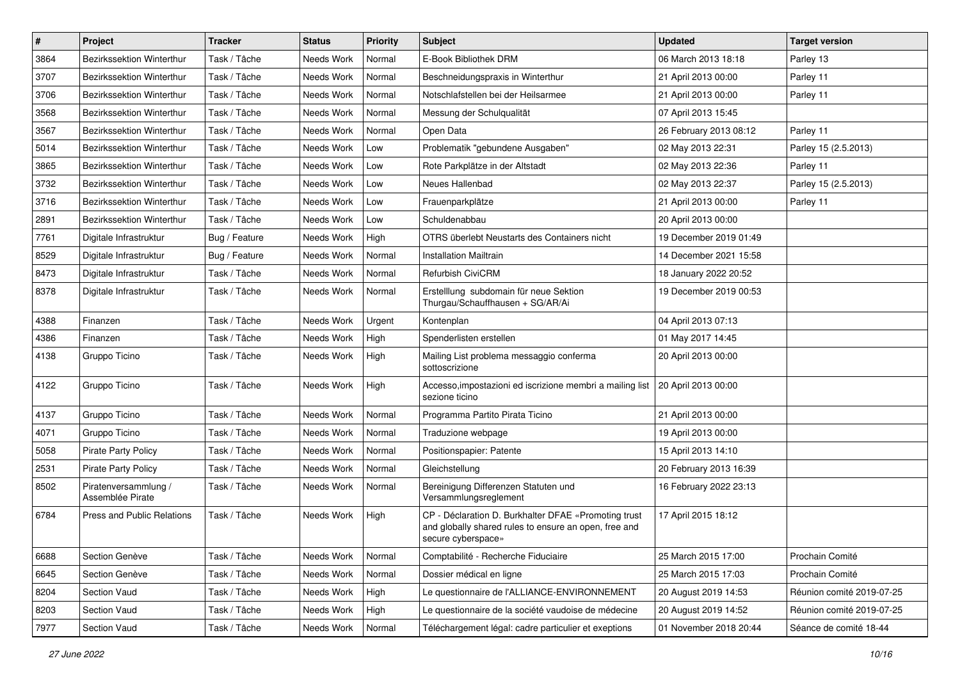| $\pmb{\#}$ | Project                                  | <b>Tracker</b> | <b>Status</b> | <b>Priority</b> | <b>Subject</b>                                                                                                                      | <b>Updated</b>         | <b>Target version</b>     |
|------------|------------------------------------------|----------------|---------------|-----------------|-------------------------------------------------------------------------------------------------------------------------------------|------------------------|---------------------------|
| 3864       | <b>Bezirkssektion Winterthur</b>         | Task / Tâche   | Needs Work    | Normal          | E-Book Bibliothek DRM                                                                                                               | 06 March 2013 18:18    | Parley 13                 |
| 3707       | <b>Bezirkssektion Winterthur</b>         | Task / Tâche   | Needs Work    | Normal          | Beschneidungspraxis in Winterthur                                                                                                   | 21 April 2013 00:00    | Parley 11                 |
| 3706       | <b>Bezirkssektion Winterthur</b>         | Task / Tâche   | Needs Work    | Normal          | Notschlafstellen bei der Heilsarmee                                                                                                 | 21 April 2013 00:00    | Parley 11                 |
| 3568       | Bezirkssektion Winterthur                | Task / Tâche   | Needs Work    | Normal          | Messung der Schulqualität                                                                                                           | 07 April 2013 15:45    |                           |
| 3567       | Bezirkssektion Winterthur                | Task / Tâche   | Needs Work    | Normal          | Open Data                                                                                                                           | 26 February 2013 08:12 | Parley 11                 |
| 5014       | Bezirkssektion Winterthur                | Task / Tâche   | Needs Work    | Low             | Problematik "gebundene Ausgaben"                                                                                                    | 02 May 2013 22:31      | Parley 15 (2.5.2013)      |
| 3865       | <b>Bezirkssektion Winterthur</b>         | Task / Tâche   | Needs Work    | Low             | Rote Parkplätze in der Altstadt                                                                                                     | 02 May 2013 22:36      | Parley 11                 |
| 3732       | <b>Bezirkssektion Winterthur</b>         | Task / Tâche   | Needs Work    | Low             | Neues Hallenbad                                                                                                                     | 02 May 2013 22:37      | Parley 15 (2.5.2013)      |
| 3716       | Bezirkssektion Winterthur                | Task / Tâche   | Needs Work    | Low             | Frauenparkplätze                                                                                                                    | 21 April 2013 00:00    | Parley 11                 |
| 2891       | Bezirkssektion Winterthur                | Task / Tâche   | Needs Work    | Low             | Schuldenabbau                                                                                                                       | 20 April 2013 00:00    |                           |
| 7761       | Digitale Infrastruktur                   | Bug / Feature  | Needs Work    | High            | OTRS überlebt Neustarts des Containers nicht                                                                                        | 19 December 2019 01:49 |                           |
| 8529       | Digitale Infrastruktur                   | Bug / Feature  | Needs Work    | Normal          | <b>Installation Mailtrain</b>                                                                                                       | 14 December 2021 15:58 |                           |
| 8473       | Digitale Infrastruktur                   | Task / Tâche   | Needs Work    | Normal          | Refurbish CiviCRM                                                                                                                   | 18 January 2022 20:52  |                           |
| 8378       | Digitale Infrastruktur                   | Task / Tâche   | Needs Work    | Normal          | Erstelllung subdomain für neue Sektion<br>Thurgau/Schauffhausen + SG/AR/Ai                                                          | 19 December 2019 00:53 |                           |
| 4388       | Finanzen                                 | Task / Tâche   | Needs Work    | Urgent          | Kontenplan                                                                                                                          | 04 April 2013 07:13    |                           |
| 4386       | Finanzen                                 | Task / Tâche   | Needs Work    | High            | Spenderlisten erstellen                                                                                                             | 01 May 2017 14:45      |                           |
| 4138       | Gruppo Ticino                            | Task / Tâche   | Needs Work    | High            | Mailing List problema messaggio conferma<br>sottoscrizione                                                                          | 20 April 2013 00:00    |                           |
| 4122       | Gruppo Ticino                            | Task / Tâche   | Needs Work    | High            | Accesso, impostazioni ed iscrizione membri a mailing list   20 April 2013 00:00<br>sezione ticino                                   |                        |                           |
| 4137       | Gruppo Ticino                            | Task / Tâche   | Needs Work    | Normal          | Programma Partito Pirata Ticino                                                                                                     | 21 April 2013 00:00    |                           |
| 4071       | Gruppo Ticino                            | Task / Tâche   | Needs Work    | Normal          | Traduzione webpage                                                                                                                  | 19 April 2013 00:00    |                           |
| 5058       | <b>Pirate Party Policy</b>               | Task / Tâche   | Needs Work    | Normal          | Positionspapier: Patente                                                                                                            | 15 April 2013 14:10    |                           |
| 2531       | Pirate Party Policy                      | Task / Tâche   | Needs Work    | Normal          | Gleichstellung                                                                                                                      | 20 February 2013 16:39 |                           |
| 8502       | Piratenversammlung /<br>Assemblée Pirate | Task / Tâche   | Needs Work    | Normal          | Bereinigung Differenzen Statuten und<br>Versammlungsreglement                                                                       | 16 February 2022 23:13 |                           |
| 6784       | <b>Press and Public Relations</b>        | Task / Tâche   | Needs Work    | High            | CP - Déclaration D. Burkhalter DFAE «Promoting trust<br>and globally shared rules to ensure an open, free and<br>secure cyberspace» | 17 April 2015 18:12    |                           |
| 6688       | Section Genève                           | Task / Tâche   | Needs Work    | Normal          | Comptabilité - Recherche Fiduciaire                                                                                                 | 25 March 2015 17:00    | Prochain Comité           |
| 6645       | Section Genève                           | Task / Tâche   | Needs Work    | Normal          | Dossier médical en ligne                                                                                                            | 25 March 2015 17:03    | Prochain Comité           |
| 8204       | <b>Section Vaud</b>                      | Task / Tâche   | Needs Work    | High            | Le questionnaire de l'ALLIANCE-ENVIRONNEMENT                                                                                        | 20 August 2019 14:53   | Réunion comité 2019-07-25 |
| 8203       | Section Vaud                             | Task / Tâche   | Needs Work    | High            | Le questionnaire de la société vaudoise de médecine                                                                                 | 20 August 2019 14:52   | Réunion comité 2019-07-25 |
| 7977       | Section Vaud                             | Task / Tâche   | Needs Work    | Normal          | Téléchargement légal: cadre particulier et exeptions                                                                                | 01 November 2018 20:44 | Séance de comité 18-44    |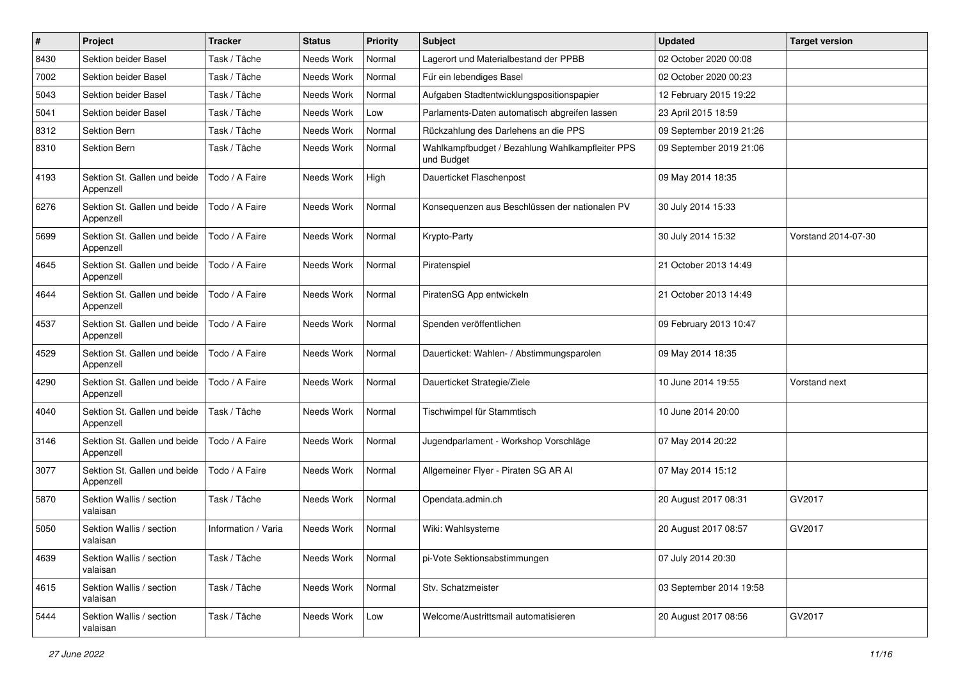| $\#$ | Project                                   | <b>Tracker</b>      | <b>Status</b> | <b>Priority</b> | Subject                                                       | <b>Updated</b>          | <b>Target version</b> |
|------|-------------------------------------------|---------------------|---------------|-----------------|---------------------------------------------------------------|-------------------------|-----------------------|
| 8430 | Sektion beider Basel                      | Task / Tâche        | Needs Work    | Normal          | Lagerort und Materialbestand der PPBB                         | 02 October 2020 00:08   |                       |
| 7002 | Sektion beider Basel                      | Task / Tâche        | Needs Work    | Normal          | Für ein lebendiges Basel                                      | 02 October 2020 00:23   |                       |
| 5043 | Sektion beider Basel                      | Task / Tâche        | Needs Work    | Normal          | Aufgaben Stadtentwicklungspositionspapier                     | 12 February 2015 19:22  |                       |
| 5041 | Sektion beider Basel                      | Task / Tâche        | Needs Work    | Low             | Parlaments-Daten automatisch abgreifen lassen                 | 23 April 2015 18:59     |                       |
| 8312 | Sektion Bern                              | Task / Tâche        | Needs Work    | Normal          | Rückzahlung des Darlehens an die PPS                          | 09 September 2019 21:26 |                       |
| 8310 | Sektion Bern                              | Task / Tâche        | Needs Work    | Normal          | Wahlkampfbudget / Bezahlung Wahlkampfleiter PPS<br>und Budget | 09 September 2019 21:06 |                       |
| 4193 | Sektion St. Gallen und beide<br>Appenzell | Todo / A Faire      | Needs Work    | High            | Dauerticket Flaschenpost                                      | 09 May 2014 18:35       |                       |
| 6276 | Sektion St. Gallen und beide<br>Appenzell | Todo / A Faire      | Needs Work    | Normal          | Konsequenzen aus Beschlüssen der nationalen PV                | 30 July 2014 15:33      |                       |
| 5699 | Sektion St. Gallen und beide<br>Appenzell | Todo / A Faire      | Needs Work    | Normal          | Krypto-Party                                                  | 30 July 2014 15:32      | Vorstand 2014-07-30   |
| 4645 | Sektion St. Gallen und beide<br>Appenzell | Todo / A Faire      | Needs Work    | Normal          | Piratenspiel                                                  | 21 October 2013 14:49   |                       |
| 4644 | Sektion St. Gallen und beide<br>Appenzell | Todo / A Faire      | Needs Work    | Normal          | PiratenSG App entwickeln                                      | 21 October 2013 14:49   |                       |
| 4537 | Sektion St. Gallen und beide<br>Appenzell | Todo / A Faire      | Needs Work    | Normal          | Spenden veröffentlichen                                       | 09 February 2013 10:47  |                       |
| 4529 | Sektion St. Gallen und beide<br>Appenzell | Todo / A Faire      | Needs Work    | Normal          | Dauerticket: Wahlen- / Abstimmungsparolen                     | 09 May 2014 18:35       |                       |
| 4290 | Sektion St. Gallen und beide<br>Appenzell | Todo / A Faire      | Needs Work    | Normal          | Dauerticket Strategie/Ziele                                   | 10 June 2014 19:55      | Vorstand next         |
| 4040 | Sektion St. Gallen und beide<br>Appenzell | Task / Tâche        | Needs Work    | Normal          | Tischwimpel für Stammtisch                                    | 10 June 2014 20:00      |                       |
| 3146 | Sektion St. Gallen und beide<br>Appenzell | Todo / A Faire      | Needs Work    | Normal          | Jugendparlament - Workshop Vorschläge                         | 07 May 2014 20:22       |                       |
| 3077 | Sektion St. Gallen und beide<br>Appenzell | Todo / A Faire      | Needs Work    | Normal          | Allgemeiner Flyer - Piraten SG AR Al                          | 07 May 2014 15:12       |                       |
| 5870 | Sektion Wallis / section<br>valaisan      | Task / Tâche        | Needs Work    | Normal          | Opendata.admin.ch                                             | 20 August 2017 08:31    | GV2017                |
| 5050 | Sektion Wallis / section<br>valaisan      | Information / Varia | Needs Work    | Normal          | Wiki: Wahlsysteme                                             | 20 August 2017 08:57    | GV2017                |
| 4639 | Sektion Wallis / section<br>valaisan      | Task / Tâche        | Needs Work    | Normal          | pi-Vote Sektionsabstimmungen                                  | 07 July 2014 20:30      |                       |
| 4615 | Sektion Wallis / section<br>valaisan      | Task / Tâche        | Needs Work    | Normal          | Stv. Schatzmeister                                            | 03 September 2014 19:58 |                       |
| 5444 | Sektion Wallis / section<br>valaisan      | Task / Tâche        | Needs Work    | Low             | Welcome/Austrittsmail automatisieren                          | 20 August 2017 08:56    | GV2017                |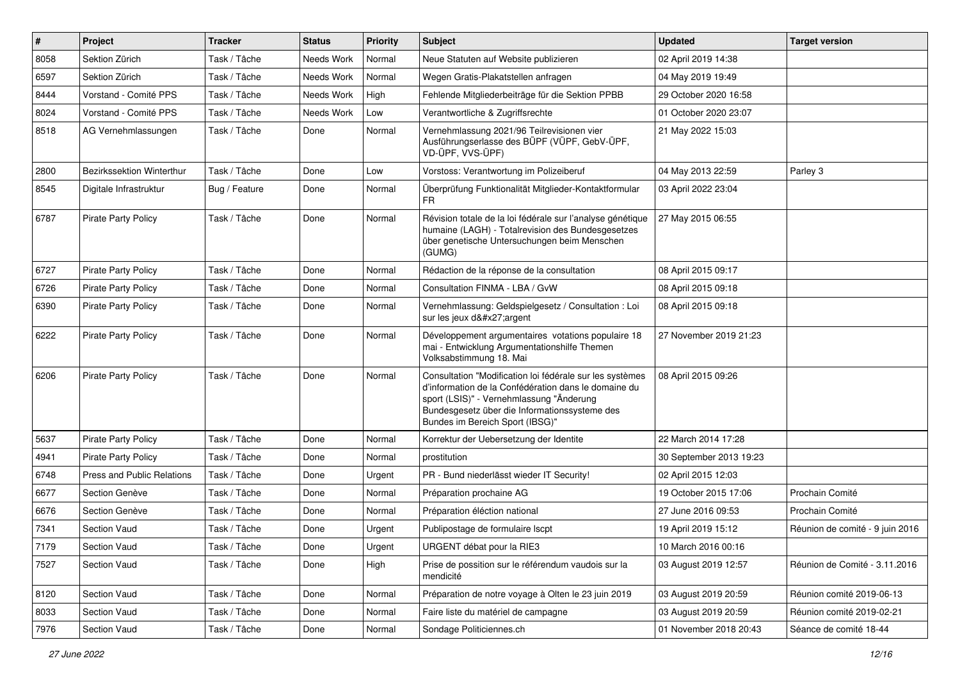| $\vert$ # | Project                    | <b>Tracker</b> | <b>Status</b> | <b>Priority</b> | Subject                                                                                                                                                                                                                                          | <b>Updated</b>          | <b>Target version</b>           |
|-----------|----------------------------|----------------|---------------|-----------------|--------------------------------------------------------------------------------------------------------------------------------------------------------------------------------------------------------------------------------------------------|-------------------------|---------------------------------|
| 8058      | Sektion Zürich             | Task / Tâche   | Needs Work    | Normal          | Neue Statuten auf Website publizieren                                                                                                                                                                                                            | 02 April 2019 14:38     |                                 |
| 6597      | Sektion Zürich             | Task / Tâche   | Needs Work    | Normal          | Wegen Gratis-Plakatstellen anfragen                                                                                                                                                                                                              | 04 May 2019 19:49       |                                 |
| 8444      | Vorstand - Comité PPS      | Task / Tâche   | Needs Work    | High            | Fehlende Mitgliederbeiträge für die Sektion PPBB                                                                                                                                                                                                 | 29 October 2020 16:58   |                                 |
| 8024      | Vorstand - Comité PPS      | Task / Tâche   | Needs Work    | Low             | Verantwortliche & Zugriffsrechte                                                                                                                                                                                                                 | 01 October 2020 23:07   |                                 |
| 8518      | AG Vernehmlassungen        | Task / Tâche   | Done          | Normal          | Vernehmlassung 2021/96 Teilrevisionen vier<br>Ausführungserlasse des BÜPF (VÜPF, GebV-ÜPF,<br>VD-ÜPF, VVS-ÜPF)                                                                                                                                   | 21 May 2022 15:03       |                                 |
| 2800      | Bezirkssektion Winterthur  | Task / Tâche   | Done          | Low             | Vorstoss: Verantwortung im Polizeiberuf                                                                                                                                                                                                          | 04 May 2013 22:59       | Parley 3                        |
| 8545      | Digitale Infrastruktur     | Bug / Feature  | Done          | Normal          | Überprüfung Funktionalität Mitglieder-Kontaktformular<br>FR                                                                                                                                                                                      | 03 April 2022 23:04     |                                 |
| 6787      | <b>Pirate Party Policy</b> | Task / Tâche   | Done          | Normal          | Révision totale de la loi fédérale sur l'analyse génétique<br>humaine (LAGH) - Totalrevision des Bundesgesetzes<br>über genetische Untersuchungen beim Menschen<br>(GUMG)                                                                        | 27 May 2015 06:55       |                                 |
| 6727      | Pirate Party Policy        | Task / Tâche   | Done          | Normal          | Rédaction de la réponse de la consultation                                                                                                                                                                                                       | 08 April 2015 09:17     |                                 |
| 6726      | Pirate Party Policy        | Task / Tâche   | Done          | Normal          | Consultation FINMA - LBA / GvW                                                                                                                                                                                                                   | 08 April 2015 09:18     |                                 |
| 6390      | <b>Pirate Party Policy</b> | Task / Tâche   | Done          | Normal          | Vernehmlassung: Geldspielgesetz / Consultation : Loi<br>sur les jeux d'argent                                                                                                                                                                    | 08 April 2015 09:18     |                                 |
| 6222      | <b>Pirate Party Policy</b> | Task / Tâche   | Done          | Normal          | Développement argumentaires votations populaire 18<br>mai - Entwicklung Argumentationshilfe Themen<br>Volksabstimmung 18. Mai                                                                                                                    | 27 November 2019 21:23  |                                 |
| 6206      | <b>Pirate Party Policy</b> | Task / Tâche   | Done          | Normal          | Consultation "Modification loi fédérale sur les systèmes<br>d'information de la Confédération dans le domaine du<br>sport (LSIS)" - Vernehmlassung "Änderung<br>Bundesgesetz über die Informationssysteme des<br>Bundes im Bereich Sport (IBSG)" | 08 April 2015 09:26     |                                 |
| 5637      | Pirate Party Policy        | Task / Tâche   | Done          | Normal          | Korrektur der Uebersetzung der Identite                                                                                                                                                                                                          | 22 March 2014 17:28     |                                 |
| 4941      | <b>Pirate Party Policy</b> | Task / Tâche   | Done          | Normal          | prostitution                                                                                                                                                                                                                                     | 30 September 2013 19:23 |                                 |
| 6748      | Press and Public Relations | Task / Tâche   | Done          | Urgent          | PR - Bund niederlässt wieder IT Security!                                                                                                                                                                                                        | 02 April 2015 12:03     |                                 |
| 6677      | Section Genève             | Task / Tâche   | Done          | Normal          | Préparation prochaine AG                                                                                                                                                                                                                         | 19 October 2015 17:06   | Prochain Comité                 |
| 6676      | Section Genève             | Task / Tâche   | Done          | Normal          | Préparation éléction national                                                                                                                                                                                                                    | 27 June 2016 09:53      | Prochain Comité                 |
| 7341      | <b>Section Vaud</b>        | Task / Tâche   | Done          | Urgent          | Publipostage de formulaire Iscpt                                                                                                                                                                                                                 | 19 April 2019 15:12     | Réunion de comité - 9 juin 2016 |
| 7179      | <b>Section Vaud</b>        | Task / Tâche   | Done          | Urgent          | URGENT débat pour la RIE3                                                                                                                                                                                                                        | 10 March 2016 00:16     |                                 |
| 7527      | Section Vaud               | Task / Tâche   | Done          | High            | Prise de possition sur le référendum vaudois sur la<br>mendicité                                                                                                                                                                                 | 03 August 2019 12:57    | Réunion de Comité - 3.11.2016   |
| 8120      | Section Vaud               | Task / Tâche   | Done          | Normal          | Préparation de notre voyage à Olten le 23 juin 2019                                                                                                                                                                                              | 03 August 2019 20:59    | Réunion comité 2019-06-13       |
| 8033      | Section Vaud               | Task / Tâche   | Done          | Normal          | Faire liste du matériel de campagne                                                                                                                                                                                                              | 03 August 2019 20:59    | Réunion comité 2019-02-21       |
| 7976      | Section Vaud               | Task / Tâche   | Done          | Normal          | Sondage Politiciennes.ch                                                                                                                                                                                                                         | 01 November 2018 20:43  | Séance de comité 18-44          |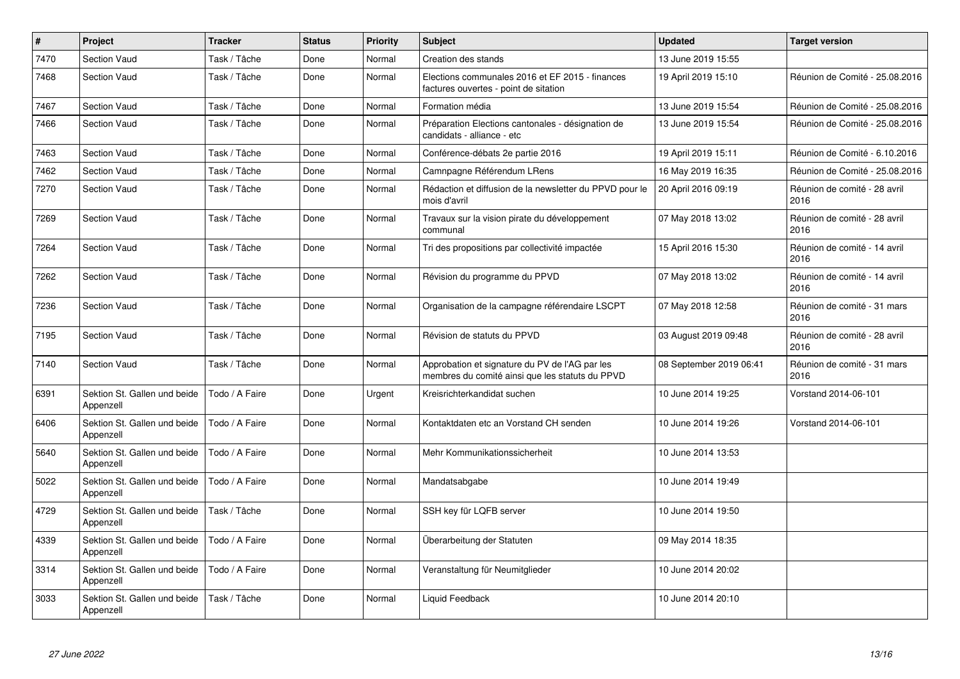| $\pmb{\#}$ | Project                                   | <b>Tracker</b> | <b>Status</b> | <b>Priority</b> | <b>Subject</b>                                                                                    | <b>Updated</b>          | <b>Target version</b>                |
|------------|-------------------------------------------|----------------|---------------|-----------------|---------------------------------------------------------------------------------------------------|-------------------------|--------------------------------------|
| 7470       | <b>Section Vaud</b>                       | Task / Tâche   | Done          | Normal          | Creation des stands                                                                               | 13 June 2019 15:55      |                                      |
| 7468       | <b>Section Vaud</b>                       | Task / Tâche   | Done          | Normal          | Elections communales 2016 et EF 2015 - finances<br>factures ouvertes - point de sitation          | 19 April 2019 15:10     | Réunion de Comité - 25.08.2016       |
| 7467       | <b>Section Vaud</b>                       | Task / Tâche   | Done          | Normal          | Formation média                                                                                   | 13 June 2019 15:54      | Réunion de Comité - 25.08.2016       |
| 7466       | <b>Section Vaud</b>                       | Task / Tâche   | Done          | Normal          | Préparation Elections cantonales - désignation de<br>candidats - alliance - etc                   | 13 June 2019 15:54      | Réunion de Comité - 25.08.2016       |
| 7463       | <b>Section Vaud</b>                       | Task / Tâche   | Done          | Normal          | Conférence-débats 2e partie 2016                                                                  | 19 April 2019 15:11     | Réunion de Comité - 6.10.2016        |
| 7462       | <b>Section Vaud</b>                       | Task / Tâche   | Done          | Normal          | Camnpagne Référendum LRens                                                                        | 16 May 2019 16:35       | Réunion de Comité - 25.08.2016       |
| 7270       | <b>Section Vaud</b>                       | Task / Tâche   | Done          | Normal          | Rédaction et diffusion de la newsletter du PPVD pour le<br>mois d'avril                           | 20 April 2016 09:19     | Réunion de comité - 28 avril<br>2016 |
| 7269       | <b>Section Vaud</b>                       | Task / Tâche   | Done          | Normal          | Travaux sur la vision pirate du développement<br>communal                                         | 07 May 2018 13:02       | Réunion de comité - 28 avril<br>2016 |
| 7264       | <b>Section Vaud</b>                       | Task / Tâche   | Done          | Normal          | Tri des propositions par collectivité impactée                                                    | 15 April 2016 15:30     | Réunion de comité - 14 avril<br>2016 |
| 7262       | Section Vaud                              | Task / Tâche   | Done          | Normal          | Révision du programme du PPVD                                                                     | 07 May 2018 13:02       | Réunion de comité - 14 avril<br>2016 |
| 7236       | <b>Section Vaud</b>                       | Task / Tâche   | Done          | Normal          | Organisation de la campagne référendaire LSCPT                                                    | 07 May 2018 12:58       | Réunion de comité - 31 mars<br>2016  |
| 7195       | <b>Section Vaud</b>                       | Task / Tâche   | Done          | Normal          | Révision de statuts du PPVD                                                                       | 03 August 2019 09:48    | Réunion de comité - 28 avril<br>2016 |
| 7140       | <b>Section Vaud</b>                       | Task / Tâche   | Done          | Normal          | Approbation et signature du PV de l'AG par les<br>membres du comité ainsi que les statuts du PPVD | 08 September 2019 06:41 | Réunion de comité - 31 mars<br>2016  |
| 6391       | Sektion St. Gallen und beide<br>Appenzell | Todo / A Faire | Done          | Urgent          | Kreisrichterkandidat suchen                                                                       | 10 June 2014 19:25      | Vorstand 2014-06-101                 |
| 6406       | Sektion St. Gallen und beide<br>Appenzell | Todo / A Faire | Done          | Normal          | Kontaktdaten etc an Vorstand CH senden                                                            | 10 June 2014 19:26      | Vorstand 2014-06-101                 |
| 5640       | Sektion St. Gallen und beide<br>Appenzell | Todo / A Faire | Done          | Normal          | Mehr Kommunikationssicherheit                                                                     | 10 June 2014 13:53      |                                      |
| 5022       | Sektion St. Gallen und beide<br>Appenzell | Todo / A Faire | Done          | Normal          | Mandatsabgabe                                                                                     | 10 June 2014 19:49      |                                      |
| 4729       | Sektion St. Gallen und beide<br>Appenzell | Task / Tâche   | Done          | Normal          | SSH key für LQFB server                                                                           | 10 June 2014 19:50      |                                      |
| 4339       | Sektion St. Gallen und beide<br>Appenzell | Todo / A Faire | Done          | Normal          | Überarbeitung der Statuten                                                                        | 09 May 2014 18:35       |                                      |
| 3314       | Sektion St. Gallen und beide<br>Appenzell | Todo / A Faire | Done          | Normal          | Veranstaltung für Neumitglieder                                                                   | 10 June 2014 20:02      |                                      |
| 3033       | Sektion St. Gallen und beide<br>Appenzell | Task / Tâche   | Done          | Normal          | Liquid Feedback                                                                                   | 10 June 2014 20:10      |                                      |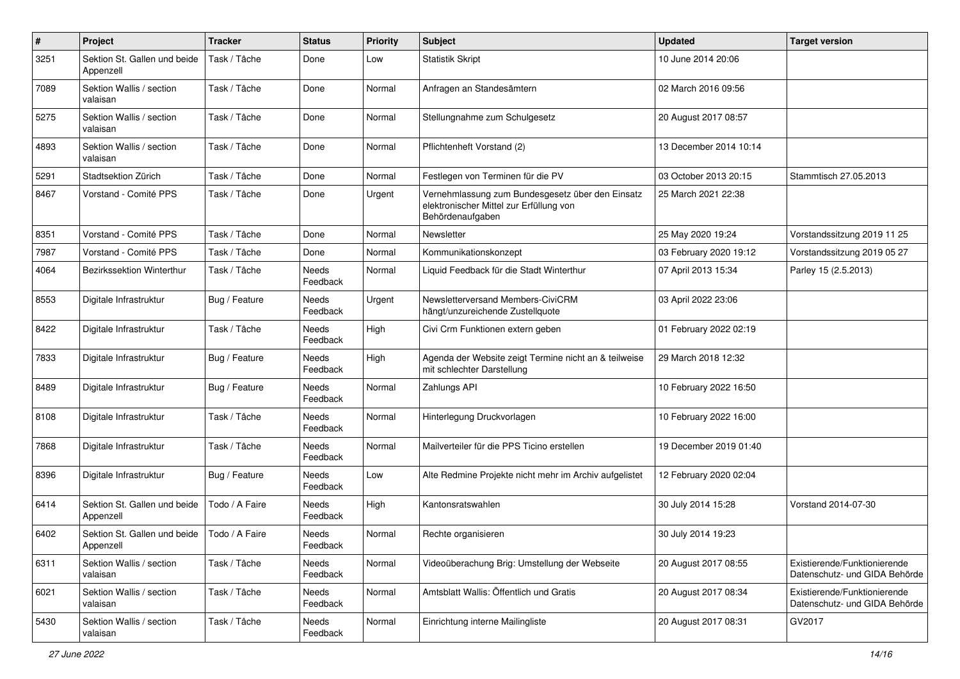| $\#$ | Project                                   | <b>Tracker</b> | <b>Status</b>     | <b>Priority</b> | <b>Subject</b>                                                                                                  | <b>Updated</b>         | <b>Target version</b>                                         |
|------|-------------------------------------------|----------------|-------------------|-----------------|-----------------------------------------------------------------------------------------------------------------|------------------------|---------------------------------------------------------------|
| 3251 | Sektion St. Gallen und beide<br>Appenzell | Task / Tâche   | Done              | Low             | <b>Statistik Skript</b>                                                                                         | 10 June 2014 20:06     |                                                               |
| 7089 | Sektion Wallis / section<br>valaisan      | Task / Tâche   | Done              | Normal          | Anfragen an Standesämtern                                                                                       | 02 March 2016 09:56    |                                                               |
| 5275 | Sektion Wallis / section<br>valaisan      | Task / Tâche   | Done              | Normal          | Stellungnahme zum Schulgesetz                                                                                   | 20 August 2017 08:57   |                                                               |
| 4893 | Sektion Wallis / section<br>valaisan      | Task / Tâche   | Done              | Normal          | Pflichtenheft Vorstand (2)                                                                                      | 13 December 2014 10:14 |                                                               |
| 5291 | Stadtsektion Zürich                       | Task / Tâche   | Done              | Normal          | Festlegen von Terminen für die PV                                                                               | 03 October 2013 20:15  | Stammtisch 27.05.2013                                         |
| 8467 | Vorstand - Comité PPS                     | Task / Tâche   | Done              | Urgent          | Vernehmlassung zum Bundesgesetz über den Einsatz<br>elektronischer Mittel zur Erfüllung von<br>Behördenaufgaben | 25 March 2021 22:38    |                                                               |
| 8351 | Vorstand - Comité PPS                     | Task / Tâche   | Done              | Normal          | Newsletter                                                                                                      | 25 May 2020 19:24      | Vorstandssitzung 2019 11 25                                   |
| 7987 | Vorstand - Comité PPS                     | Task / Tâche   | Done              | Normal          | Kommunikationskonzept                                                                                           | 03 February 2020 19:12 | Vorstandssitzung 2019 05 27                                   |
| 4064 | Bezirkssektion Winterthur                 | Task / Tâche   | Needs<br>Feedback | Normal          | Liquid Feedback für die Stadt Winterthur                                                                        | 07 April 2013 15:34    | Parley 15 (2.5.2013)                                          |
| 8553 | Digitale Infrastruktur                    | Bug / Feature  | Needs<br>Feedback | Urgent          | Newsletterversand Members-CiviCRM<br>hängt/unzureichende Zustellquote                                           | 03 April 2022 23:06    |                                                               |
| 8422 | Digitale Infrastruktur                    | Task / Tâche   | Needs<br>Feedback | High            | Civi Crm Funktionen extern geben                                                                                | 01 February 2022 02:19 |                                                               |
| 7833 | Digitale Infrastruktur                    | Bug / Feature  | Needs<br>Feedback | High            | Agenda der Website zeigt Termine nicht an & teilweise<br>mit schlechter Darstellung                             | 29 March 2018 12:32    |                                                               |
| 8489 | Digitale Infrastruktur                    | Bug / Feature  | Needs<br>Feedback | Normal          | Zahlungs API                                                                                                    | 10 February 2022 16:50 |                                                               |
| 8108 | Digitale Infrastruktur                    | Task / Tâche   | Needs<br>Feedback | Normal          | Hinterlegung Druckvorlagen                                                                                      | 10 February 2022 16:00 |                                                               |
| 7868 | Digitale Infrastruktur                    | Task / Tâche   | Needs<br>Feedback | Normal          | Mailverteiler für die PPS Ticino erstellen                                                                      | 19 December 2019 01:40 |                                                               |
| 8396 | Digitale Infrastruktur                    | Bug / Feature  | Needs<br>Feedback | Low             | Alte Redmine Projekte nicht mehr im Archiv aufgelistet                                                          | 12 February 2020 02:04 |                                                               |
| 6414 | Sektion St. Gallen und beide<br>Appenzell | Todo / A Faire | Needs<br>Feedback | High            | Kantonsratswahlen                                                                                               | 30 July 2014 15:28     | Vorstand 2014-07-30                                           |
| 6402 | Sektion St. Gallen und beide<br>Appenzell | Todo / A Faire | Needs<br>Feedback | Normal          | Rechte organisieren                                                                                             | 30 July 2014 19:23     |                                                               |
| 6311 | Sektion Wallis / section<br>valaisan      | Task / Tâche   | Needs<br>Feedback | Normal          | Videoüberachung Brig: Umstellung der Webseite                                                                   | 20 August 2017 08:55   | Existierende/Funktionierende<br>Datenschutz- und GIDA Behörde |
| 6021 | Sektion Wallis / section<br>valaisan      | Task / Tâche   | Needs<br>Feedback | Normal          | Amtsblatt Wallis: Öffentlich und Gratis                                                                         | 20 August 2017 08:34   | Existierende/Funktionierende<br>Datenschutz- und GIDA Behörde |
| 5430 | Sektion Wallis / section<br>valaisan      | Task / Tâche   | Needs<br>Feedback | Normal          | Einrichtung interne Mailingliste                                                                                | 20 August 2017 08:31   | GV2017                                                        |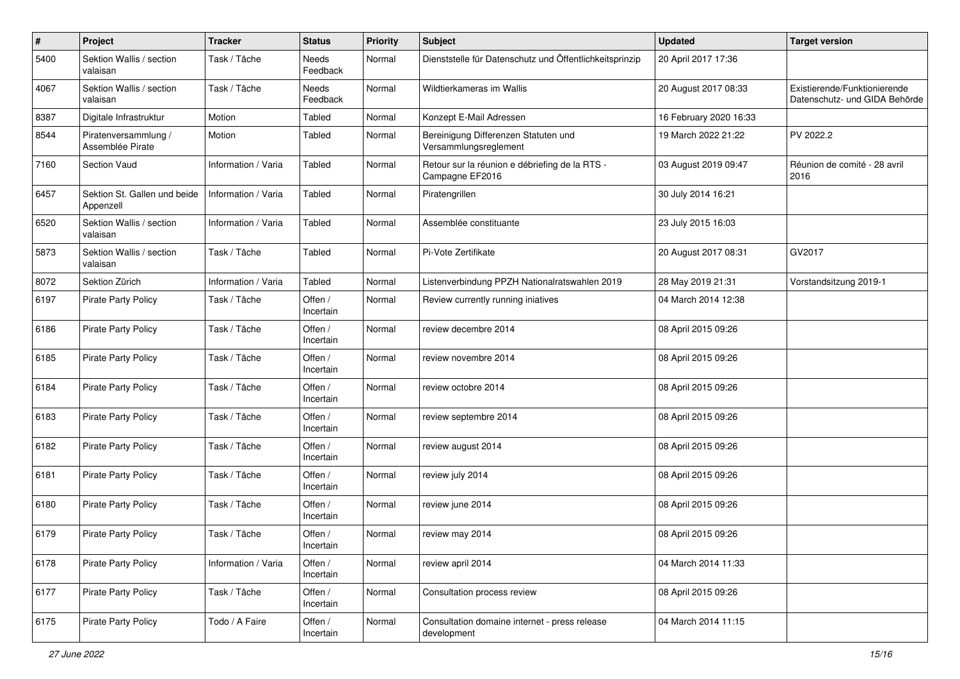| $\#$ | Project                                   | <b>Tracker</b>      | <b>Status</b>        | <b>Priority</b> | <b>Subject</b>                                                    | <b>Updated</b>         | <b>Target version</b>                                         |
|------|-------------------------------------------|---------------------|----------------------|-----------------|-------------------------------------------------------------------|------------------------|---------------------------------------------------------------|
| 5400 | Sektion Wallis / section<br>valaisan      | Task / Tâche        | Needs<br>Feedback    | Normal          | Dienststelle für Datenschutz und Öffentlichkeitsprinzip           | 20 April 2017 17:36    |                                                               |
| 4067 | Sektion Wallis / section<br>valaisan      | Task / Tâche        | Needs<br>Feedback    | Normal          | Wildtierkameras im Wallis                                         | 20 August 2017 08:33   | Existierende/Funktionierende<br>Datenschutz- und GIDA Behörde |
| 8387 | Digitale Infrastruktur                    | Motion              | Tabled               | Normal          | Konzept E-Mail Adressen                                           | 16 February 2020 16:33 |                                                               |
| 8544 | Piratenversammlung /<br>Assemblée Pirate  | Motion              | Tabled               | Normal          | Bereinigung Differenzen Statuten und<br>Versammlungsreglement     | 19 March 2022 21:22    | PV 2022.2                                                     |
| 7160 | <b>Section Vaud</b>                       | Information / Varia | Tabled               | Normal          | Retour sur la réunion e débriefing de la RTS -<br>Campagne EF2016 | 03 August 2019 09:47   | Réunion de comité - 28 avril<br>2016                          |
| 6457 | Sektion St. Gallen und beide<br>Appenzell | Information / Varia | Tabled               | Normal          | Piratengrillen                                                    | 30 July 2014 16:21     |                                                               |
| 6520 | Sektion Wallis / section<br>valaisan      | Information / Varia | Tabled               | Normal          | Assemblée constituante                                            | 23 July 2015 16:03     |                                                               |
| 5873 | Sektion Wallis / section<br>valaisan      | Task / Tâche        | Tabled               | Normal          | Pi-Vote Zertifikate                                               | 20 August 2017 08:31   | GV2017                                                        |
| 8072 | Sektion Zürich                            | Information / Varia | Tabled               | Normal          | Listenverbindung PPZH Nationalratswahlen 2019                     | 28 May 2019 21:31      | Vorstandsitzung 2019-1                                        |
| 6197 | <b>Pirate Party Policy</b>                | Task / Tâche        | Offen /<br>Incertain | Normal          | Review currently running iniatives                                | 04 March 2014 12:38    |                                                               |
| 6186 | <b>Pirate Party Policy</b>                | Task / Tâche        | Offen /<br>Incertain | Normal          | review decembre 2014                                              | 08 April 2015 09:26    |                                                               |
| 6185 | <b>Pirate Party Policy</b>                | Task / Tâche        | Offen /<br>Incertain | Normal          | review novembre 2014                                              | 08 April 2015 09:26    |                                                               |
| 6184 | Pirate Party Policy                       | Task / Tâche        | Offen /<br>Incertain | Normal          | review octobre 2014                                               | 08 April 2015 09:26    |                                                               |
| 6183 | Pirate Party Policy                       | Task / Tâche        | Offen /<br>Incertain | Normal          | review septembre 2014                                             | 08 April 2015 09:26    |                                                               |
| 6182 | Pirate Party Policy                       | Task / Tâche        | Offen /<br>Incertain | Normal          | review august 2014                                                | 08 April 2015 09:26    |                                                               |
| 6181 | <b>Pirate Party Policy</b>                | Task / Tâche        | Offen /<br>Incertain | Normal          | review july 2014                                                  | 08 April 2015 09:26    |                                                               |
| 6180 | <b>Pirate Party Policy</b>                | Task / Tâche        | Offen /<br>Incertain | Normal          | review june 2014                                                  | 08 April 2015 09:26    |                                                               |
| 6179 | Pirate Party Policy                       | Task / Tâche        | Offen /<br>Incertain | Normal          | review may 2014                                                   | 08 April 2015 09:26    |                                                               |
| 6178 | <b>Pirate Party Policy</b>                | Information / Varia | Offen /<br>Incertain | Normal          | review april 2014                                                 | 04 March 2014 11:33    |                                                               |
| 6177 | <b>Pirate Party Policy</b>                | Task / Tâche        | Offen /<br>Incertain | Normal          | Consultation process review                                       | 08 April 2015 09:26    |                                                               |
| 6175 | <b>Pirate Party Policy</b>                | Todo / A Faire      | Offen /<br>Incertain | Normal          | Consultation domaine internet - press release<br>development      | 04 March 2014 11:15    |                                                               |